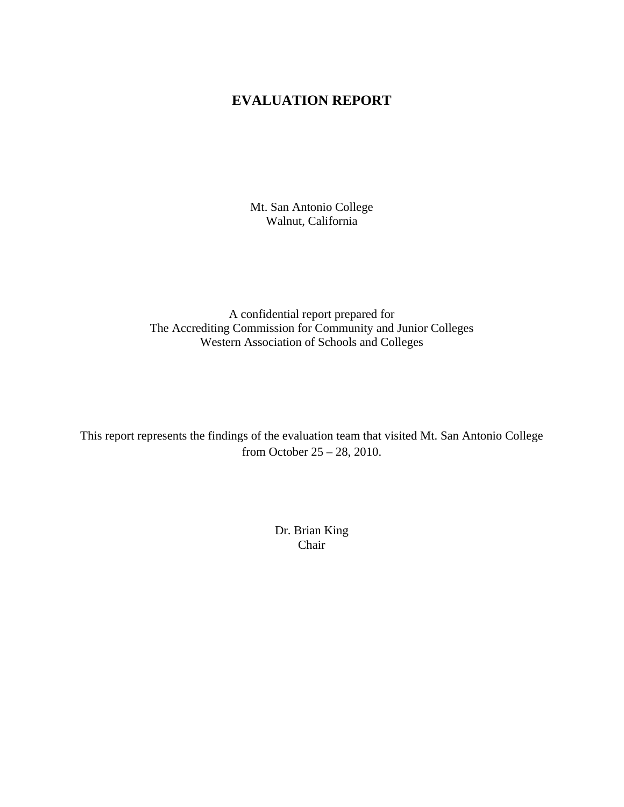# **EVALUATION REPORT**

Mt. San Antonio College Walnut, California

A confidential report prepared for The Accrediting Commission for Community and Junior Colleges Western Association of Schools and Colleges

This report represents the findings of the evaluation team that visited Mt. San Antonio College from October 25 – 28, 2010.

> Dr. Brian King Chair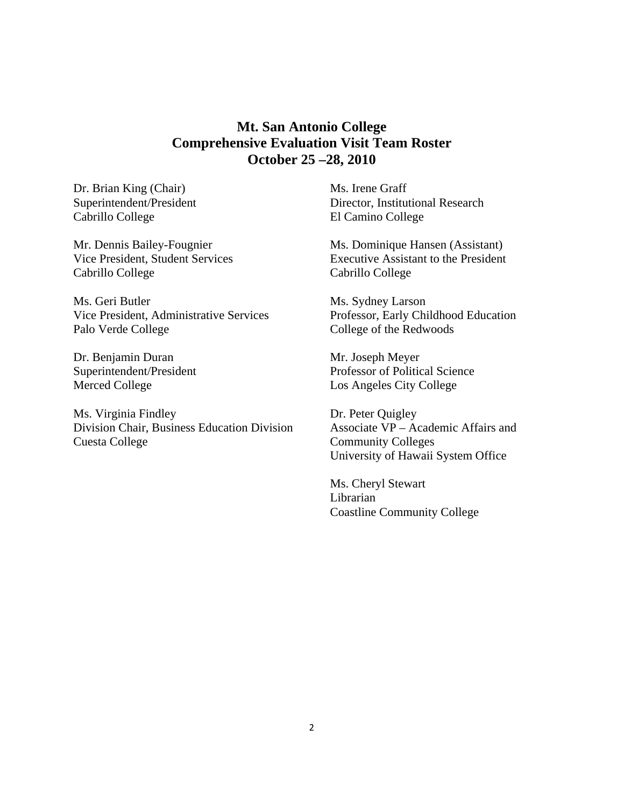# **Mt. San Antonio College Comprehensive Evaluation Visit Team Roster October 25 –28, 2010**

Cabrillo College Dr. Brian King (Chair) Superintendent/President

Mr. Dennis Bailey-Fougnier Vice President, Student Services Cabrillo College

Palo Verde College<br>Dr. Benjamin Duran Ms. Geri Butler Vice President, Administrative Services

Dr. Benjamin Duran Superintendent/President Merced College

Ms. Virginia Findley Division Chair, Business Education Division Cuesta College

 Director, Institutional Research El Camino College Ms. Irene Graff

Ms. Dominique Hansen (Assistant) Executive Assistant to the President Cabrillo College

Ms. Sydney Larson Professor, Early Childhood Education College of the Redwoods

Mr. Joseph Meyer Professor of Political Science Los Angeles City College

Dr. Peter Quigley Associate VP – Academic Affairs and Community Colleges University of Hawaii System Office

Ms. Cheryl Stewart Librarian Coastline Community College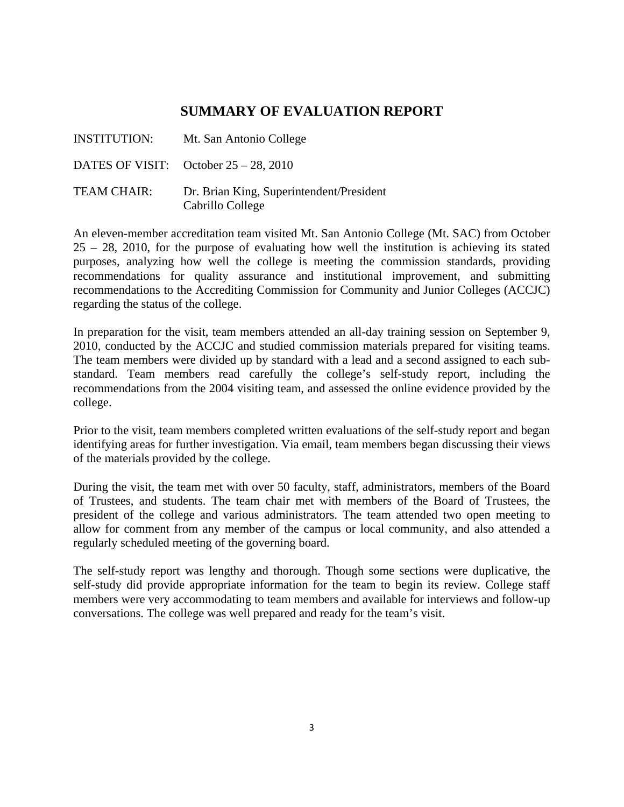# **SUMMARY OF EVALUATION REPORT**

| INSTITUTION: | Mt. San Antonio College                                      |
|--------------|--------------------------------------------------------------|
|              | DATES OF VISIT: October $25 - 28$ , 2010                     |
| TEAM CHAIR:  | Dr. Brian King, Superintendent/President<br>Cabrillo College |

An eleven-member accreditation team visited Mt. San Antonio College (Mt. SAC) from October 25 – 28, 2010, for the purpose of evaluating how well the institution is achieving its stated purposes, analyzing how well the college is meeting the commission standards, providing recommendations for quality assurance and institutional improvement, and submitting recommendations to the Accrediting Commission for Community and Junior Colleges (ACCJC) regarding the status of the college.

In preparation for the visit, team members attended an all-day training session on September 9, 2010, conducted by the ACCJC and studied commission materials prepared for visiting teams. The team members were divided up by standard with a lead and a second assigned to each substandard. Team members read carefully the college's self-study report, including the recommendations from the 2004 visiting team, and assessed the online evidence provided by the college.

Prior to the visit, team members completed written evaluations of the self-study report and began identifying areas for further investigation. Via email, team members began discussing their views of the materials provided by the college.

During the visit, the team met with over 50 faculty, staff, administrators, members of the Board of Trustees, and students. The team chair met with members of the Board of Trustees, the president of the college and various administrators. The team attended two open meeting to allow for comment from any member of the campus or local community, and also attended a regularly scheduled meeting of the governing board.

The self-study report was lengthy and thorough. Though some sections were duplicative, the self-study did provide appropriate information for the team to begin its review. College staff members were very accommodating to team members and available for interviews and follow-up conversations. The college was well prepared and ready for the team's visit.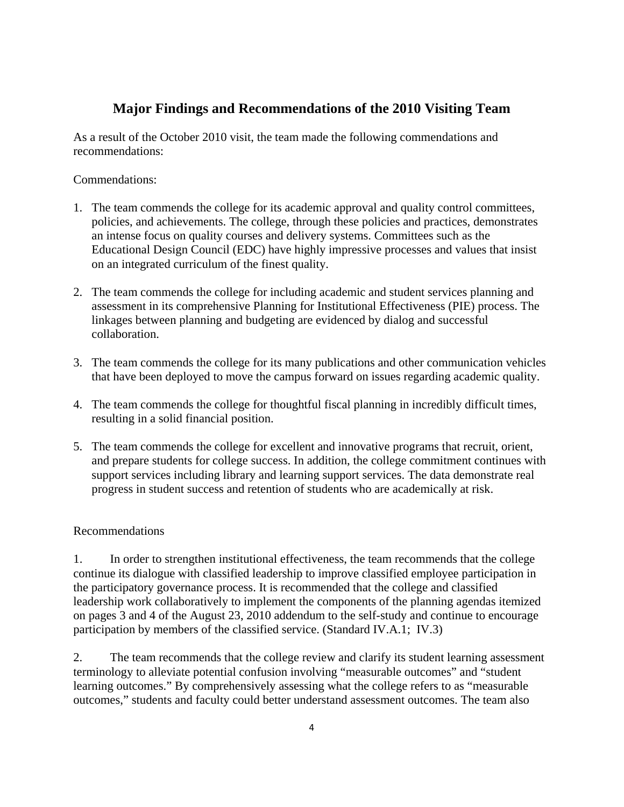# **Major Findings and Recommendations of the 2010 Visiting Team**

As a result of the October 2010 visit, the team made the following commendations and recommendations:

# Commendations:

- 1. The team commends the college for its academic approval and quality control committees, policies, and achievements. The college, through these policies and practices, demonstrates an intense focus on quality courses and delivery systems. Committees such as the Educational Design Council (EDC) have highly impressive processes and values that insist on an integrated curriculum of the finest quality.
- 2. The team commends the college for including academic and student services planning and assessment in its comprehensive Planning for Institutional Effectiveness (PIE) process. The linkages between planning and budgeting are evidenced by dialog and successful collaboration.
- 3. The team commends the college for its many publications and other communication vehicles that have been deployed to move the campus forward on issues regarding academic quality.
- 4. The team commends the college for thoughtful fiscal planning in incredibly difficult times, resulting in a solid financial position.
- 5. The team commends the college for excellent and innovative programs that recruit, orient, and prepare students for college success. In addition, the college commitment continues with support services including library and learning support services. The data demonstrate real progress in student success and retention of students who are academically at risk.

## Recommendations

1. In order to strengthen institutional effectiveness, the team recommends that the college continue its dialogue with classified leadership to improve classified employee participation in the participatory governance process. It is recommended that the college and classified leadership work collaboratively to implement the components of the planning agendas itemized on pages 3 and 4 of the August 23, 2010 addendum to the self-study and continue to encourage participation by members of the classified service. (Standard IV.A.1; IV.3)

2. The team recommends that the college review and clarify its student learning assessment terminology to alleviate potential confusion involving "measurable outcomes" and "student learning outcomes." By comprehensively assessing what the college refers to as "measurable outcomes," students and faculty could better understand assessment outcomes. The team also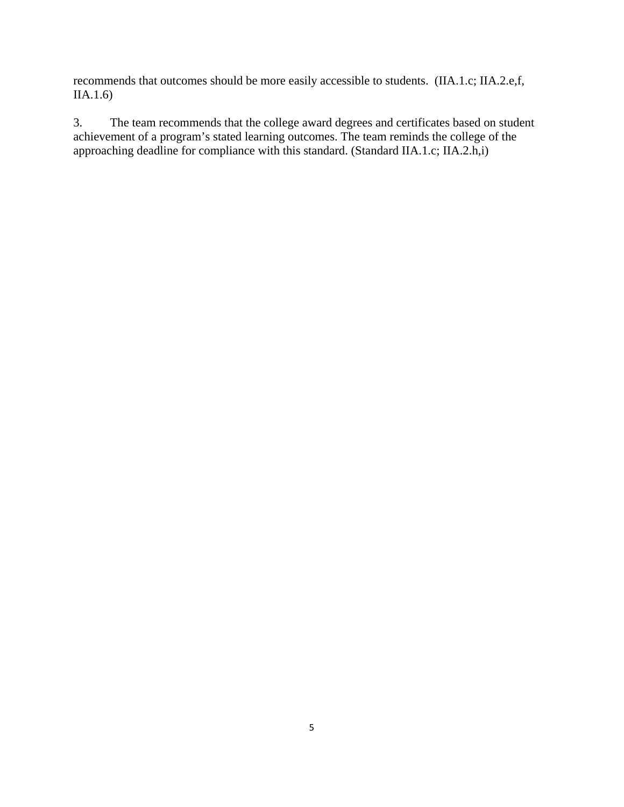recommends that outcomes should be more easily accessible to students. (IIA.1.c; IIA.2.e,f, IIA.1.6)

3. The team recommends that the college award degrees and certificates based on student achievement of a program's stated learning outcomes. The team reminds the college of the approaching deadline for compliance with this standard. (Standard IIA.1.c; IIA.2.h,i)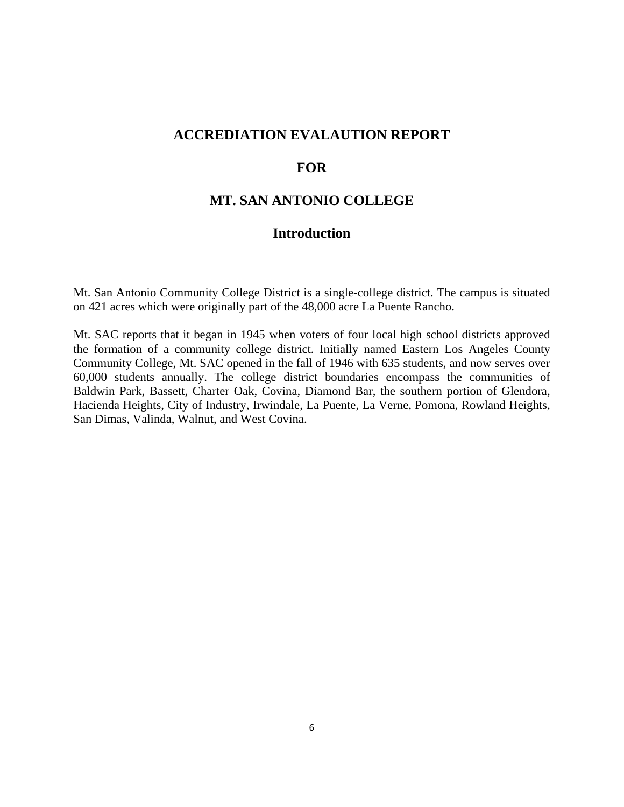# **ACCREDIATION EVALAUTION REPORT**

# **FOR**

# **MT. SAN ANTONIO COLLEGE**

# **Introduction**

Mt. San Antonio Community College District is a single-college district. The campus is situated on 421 acres which were originally part of the 48,000 acre La Puente Rancho.

Mt. SAC reports that it began in 1945 when voters of four local high school districts approved the formation of a community college district. Initially named Eastern Los Angeles County Community College, Mt. SAC opened in the fall of 1946 with 635 students, and now serves over 60,000 students annually. The college district boundaries encompass the communities of Baldwin Park, Bassett, Charter Oak, Covina, Diamond Bar, the southern portion of Glendora, Hacienda Heights, City of Industry, Irwindale, La Puente, La Verne, Pomona, Rowland Heights, San Dimas, Valinda, Walnut, and West Covina.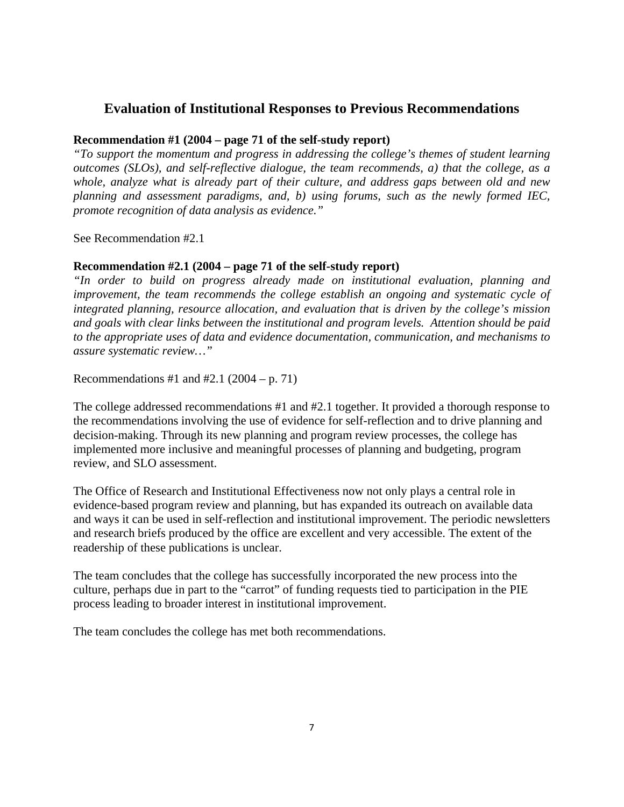# **Evaluation of Institutional Responses to Previous Recommendations**

# **Recommendation #1 (2004 – page 71 of the self-study report)**

*"To support the momentum and progress in addressing the college's themes of student learning outcomes (SLOs), and self-reflective dialogue, the team recommends, a) that the college, as a whole, analyze what is already part of their culture, and address gaps between old and new planning and assessment paradigms, and, b) using forums, such as the newly formed IEC, promote recognition of data analysis as evidence."* 

See Recommendation #2.1

## **Recommendation #2.1 (2004 – page 71 of the self-study report)**

*"In order to build on progress already made on institutional evaluation, planning and improvement, the team recommends the college establish an ongoing and systematic cycle of integrated planning, resource allocation, and evaluation that is driven by the college's mission and goals with clear links between the institutional and program levels. Attention should be paid to the appropriate uses of data and evidence documentation, communication, and mechanisms to assure systematic review…"* 

Recommendations #1 and #2.1 (2004 – p. 71)

The college addressed recommendations #1 and #2.1 together. It provided a thorough response to the recommendations involving the use of evidence for self-reflection and to drive planning and decision-making. Through its new planning and program review processes, the college has implemented more inclusive and meaningful processes of planning and budgeting, program review, and SLO assessment.

The Office of Research and Institutional Effectiveness now not only plays a central role in evidence-based program review and planning, but has expanded its outreach on available data and ways it can be used in self-reflection and institutional improvement. The periodic newsletters and research briefs produced by the office are excellent and very accessible. The extent of the readership of these publications is unclear.

The team concludes that the college has successfully incorporated the new process into the culture, perhaps due in part to the "carrot" of funding requests tied to participation in the PIE process leading to broader interest in institutional improvement.

The team concludes the college has met both recommendations.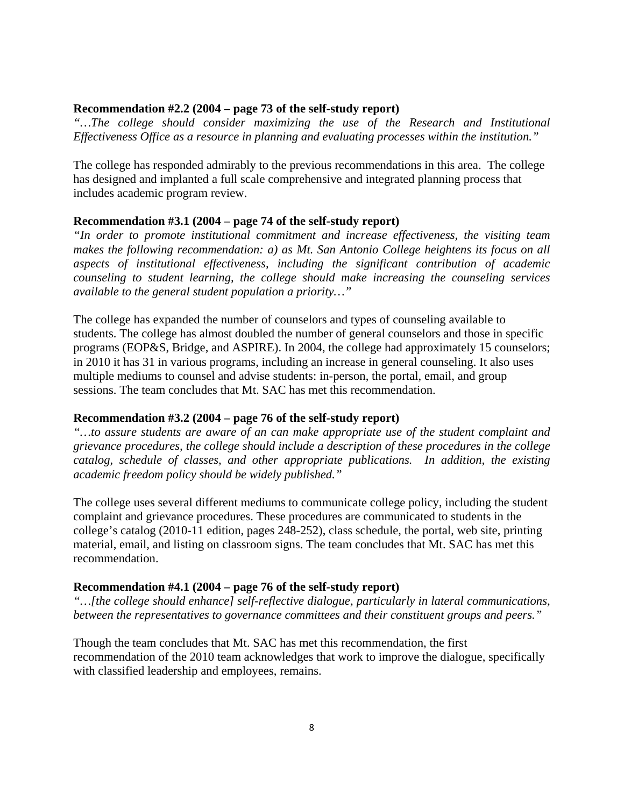#### **Recommendation #2.2 (2004 – page 73 of the self-study report)**

*"…The college should consider maximizing the use of the Research and Institutional Effectiveness Office as a resource in planning and evaluating processes within the institution."* 

The college has responded admirably to the previous recommendations in this area. The college has designed and implanted a full scale comprehensive and integrated planning process that includes academic program review.

#### **Recommendation #3.1 (2004 – page 74 of the self-study report)**

*"In order to promote institutional commitment and increase effectiveness, the visiting team makes the following recommendation: a) as Mt. San Antonio College heightens its focus on all aspects of institutional effectiveness, including the significant contribution of academic counseling to student learning, the college should make increasing the counseling services available to the general student population a priority…"* 

The college has expanded the number of counselors and types of counseling available to students. The college has almost doubled the number of general counselors and those in specific programs (EOP&S, Bridge, and ASPIRE). In 2004, the college had approximately 15 counselors; in 2010 it has 31 in various programs, including an increase in general counseling. It also uses multiple mediums to counsel and advise students: in-person, the portal, email, and group sessions. The team concludes that Mt. SAC has met this recommendation.

#### **Recommendation #3.2 (2004 – page 76 of the self-study report)**

*"…to assure students are aware of an can make appropriate use of the student complaint and grievance procedures, the college should include a description of these procedures in the college catalog, schedule of classes, and other appropriate publications. In addition, the existing academic freedom policy should be widely published."* 

The college uses several different mediums to communicate college policy, including the student complaint and grievance procedures. These procedures are communicated to students in the college's catalog (2010-11 edition, pages 248-252), class schedule, the portal, web site, printing material, email, and listing on classroom signs. The team concludes that Mt. SAC has met this recommendation.

#### **Recommendation #4.1 (2004 – page 76 of the self-study report)**

*"…[the college should enhance] self-reflective dialogue, particularly in lateral communications, between the representatives to governance committees and their constituent groups and peers."* 

Though the team concludes that Mt. SAC has met this recommendation, the first recommendation of the 2010 team acknowledges that work to improve the dialogue, specifically with classified leadership and employees, remains.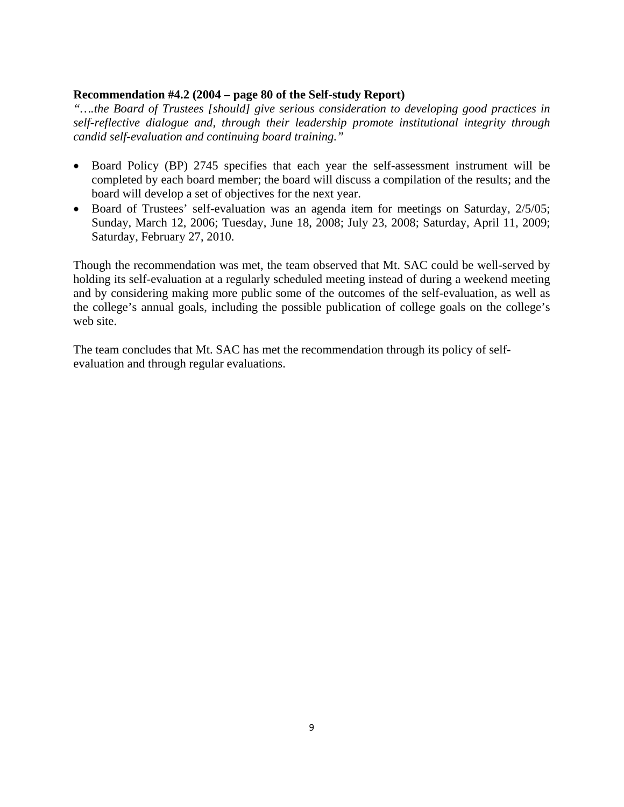## **Recommendation #4.2 (2004 – page 80 of the Self-study Report)**

*"….the Board of Trustees [should] give serious consideration to developing good practices in self-reflective dialogue and, through their leadership promote institutional integrity through candid self-evaluation and continuing board training."* 

- Board Policy (BP) 2745 specifies that each year the self-assessment instrument will be completed by each board member; the board will discuss a compilation of the results; and the board will develop a set of objectives for the next year.
- Board of Trustees' self-evaluation was an agenda item for meetings on Saturday, 2/5/05; Sunday, March 12, 2006; Tuesday, June 18, 2008; July 23, 2008; Saturday, April 11, 2009; Saturday, February 27, 2010.

Though the recommendation was met, the team observed that Mt. SAC could be well-served by holding its self-evaluation at a regularly scheduled meeting instead of during a weekend meeting and by considering making more public some of the outcomes of the self-evaluation, as well as the college's annual goals, including the possible publication of college goals on the college's web site.

The team concludes that Mt. SAC has met the recommendation through its policy of selfevaluation and through regular evaluations.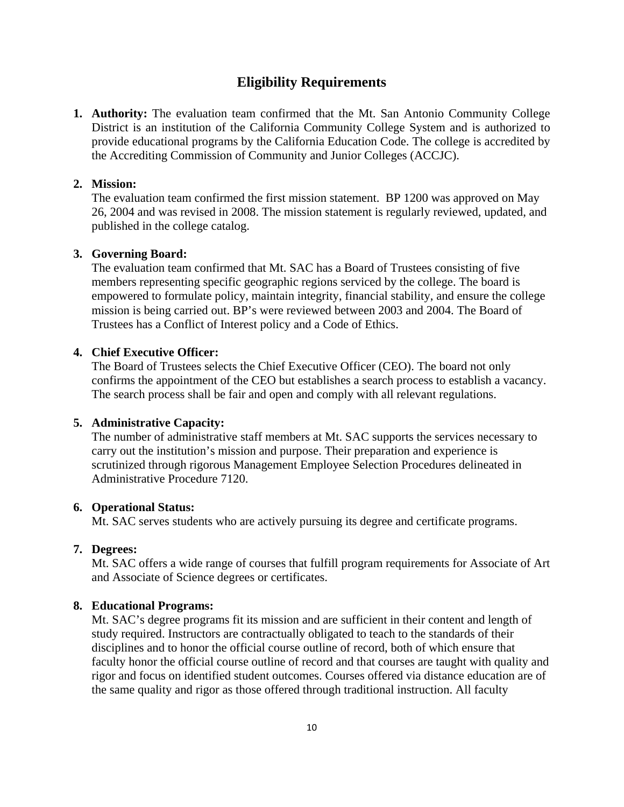# **Eligibility Requirements**

**1. Authority:** The evaluation team confirmed that the Mt. San Antonio Community College District is an institution of the California Community College System and is authorized to provide educational programs by the California Education Code. The college is accredited by the Accrediting Commission of Community and Junior Colleges (ACCJC).

## **2. Mission:**

The evaluation team confirmed the first mission statement. BP 1200 was approved on May 26, 2004 and was revised in 2008. The mission statement is regularly reviewed, updated, and published in the college catalog.

## **3. Governing Board:**

The evaluation team confirmed that Mt. SAC has a Board of Trustees consisting of five members representing specific geographic regions serviced by the college. The board is empowered to formulate policy, maintain integrity, financial stability, and ensure the college mission is being carried out. BP's were reviewed between 2003 and 2004. The Board of Trustees has a Conflict of Interest policy and a Code of Ethics.

# **4. Chief Executive Officer:**

The Board of Trustees selects the Chief Executive Officer (CEO). The board not only confirms the appointment of the CEO but establishes a search process to establish a vacancy. The search process shall be fair and open and comply with all relevant regulations.

#### **5. Administrative Capacity:**

The number of administrative staff members at Mt. SAC supports the services necessary to carry out the institution's mission and purpose. Their preparation and experience is scrutinized through rigorous Management Employee Selection Procedures delineated in Administrative Procedure 7120.

#### **6. Operational Status:**

Mt. SAC serves students who are actively pursuing its degree and certificate programs.

#### **7. Degrees:**

Mt. SAC offers a wide range of courses that fulfill program requirements for Associate of Art and Associate of Science degrees or certificates.

#### **8. Educational Programs:**

Mt. SAC's degree programs fit its mission and are sufficient in their content and length of study required. Instructors are contractually obligated to teach to the standards of their disciplines and to honor the official course outline of record, both of which ensure that faculty honor the official course outline of record and that courses are taught with quality and rigor and focus on identified student outcomes. Courses offered via distance education are of the same quality and rigor as those offered through traditional instruction. All faculty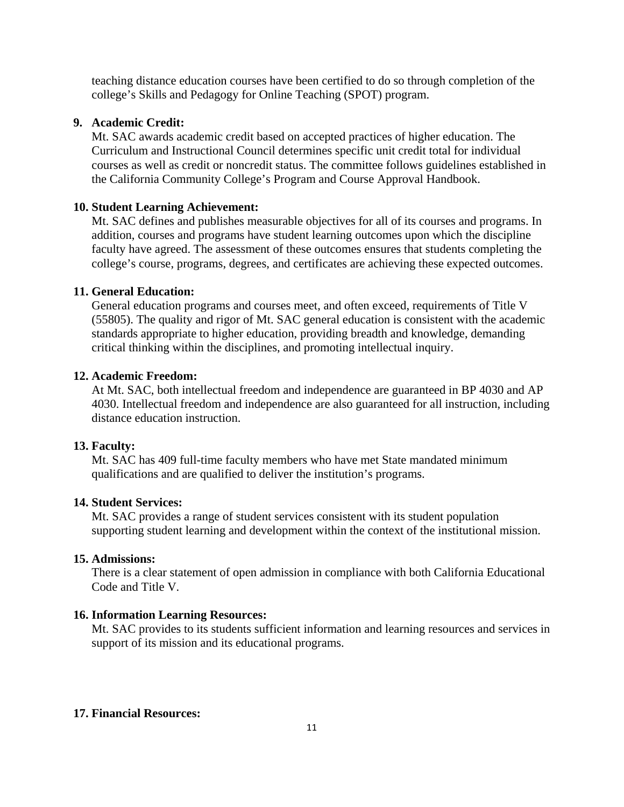teaching distance education courses have been certified to do so through completion of the college's Skills and Pedagogy for Online Teaching (SPOT) program.

#### **9. Academic Credit:**

Mt. SAC awards academic credit based on accepted practices of higher education. The Curriculum and Instructional Council determines specific unit credit total for individual courses as well as credit or noncredit status. The committee follows guidelines established in the California Community College's Program and Course Approval Handbook.

### **10. Student Learning Achievement:**

Mt. SAC defines and publishes measurable objectives for all of its courses and programs. In addition, courses and programs have student learning outcomes upon which the discipline faculty have agreed. The assessment of these outcomes ensures that students completing the college's course, programs, degrees, and certificates are achieving these expected outcomes.

## **11. General Education:**

General education programs and courses meet, and often exceed, requirements of Title V (55805). The quality and rigor of Mt. SAC general education is consistent with the academic standards appropriate to higher education, providing breadth and knowledge, demanding critical thinking within the disciplines, and promoting intellectual inquiry.

## **12. Academic Freedom:**

At Mt. SAC, both intellectual freedom and independence are guaranteed in BP 4030 and AP 4030. Intellectual freedom and independence are also guaranteed for all instruction, including distance education instruction.

#### **13. Faculty:**

Mt. SAC has 409 full-time faculty members who have met State mandated minimum qualifications and are qualified to deliver the institution's programs.

#### **14. Student Services:**

Mt. SAC provides a range of student services consistent with its student population supporting student learning and development within the context of the institutional mission.

## **15. Admissions:**

There is a clear statement of open admission in compliance with both California Educational Code and Title V.

#### **16. Information Learning Resources:**

Mt. SAC provides to its students sufficient information and learning resources and services in support of its mission and its educational programs.

# **17. Financial Resources:**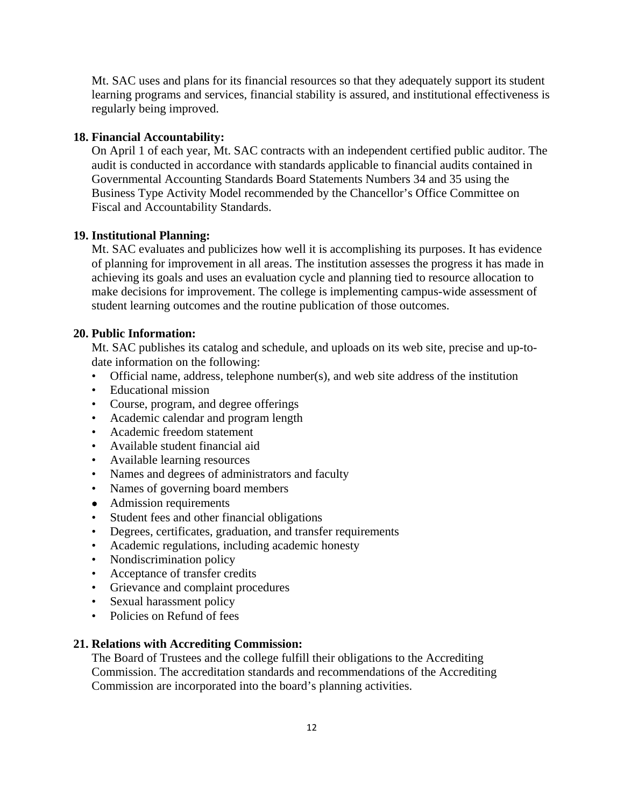Mt. SAC uses and plans for its financial resources so that they adequately support its student learning programs and services, financial stability is assured, and institutional effectiveness is regularly being improved.

## **18. Financial Accountability:**

On April 1 of each year, Mt. SAC contracts with an independent certified public auditor. The audit is conducted in accordance with standards applicable to financial audits contained in Governmental Accounting Standards Board Statements Numbers 34 and 35 using the Business Type Activity Model recommended by the Chancellor's Office Committee on Fiscal and Accountability Standards.

## **19. Institutional Planning:**

Mt. SAC evaluates and publicizes how well it is accomplishing its purposes. It has evidence of planning for improvement in all areas. The institution assesses the progress it has made in achieving its goals and uses an evaluation cycle and planning tied to resource allocation to make decisions for improvement. The college is implementing campus-wide assessment of student learning outcomes and the routine publication of those outcomes.

# **20. Public Information:**

Mt. SAC publishes its catalog and schedule, and uploads on its web site, precise and up-todate information on the following:

- Official name, address, telephone number(s), and web site address of the institution
- Educational mission
- Course, program, and degree offerings
- Academic calendar and program length
- Academic freedom statement
- Available student financial aid
- Available learning resources
- Names and degrees of administrators and faculty
- Names of governing board members
- Admission requirements
- Student fees and other financial obligations
- Degrees, certificates, graduation, and transfer requirements
- Academic regulations, including academic honesty
- Nondiscrimination policy
- Acceptance of transfer credits
- Grievance and complaint procedures
- Sexual harassment policy
- Policies on Refund of fees

#### **21. Relations with Accrediting Commission:**

The Board of Trustees and the college fulfill their obligations to the Accrediting Commission. The accreditation standards and recommendations of the Accrediting Commission are incorporated into the board's planning activities.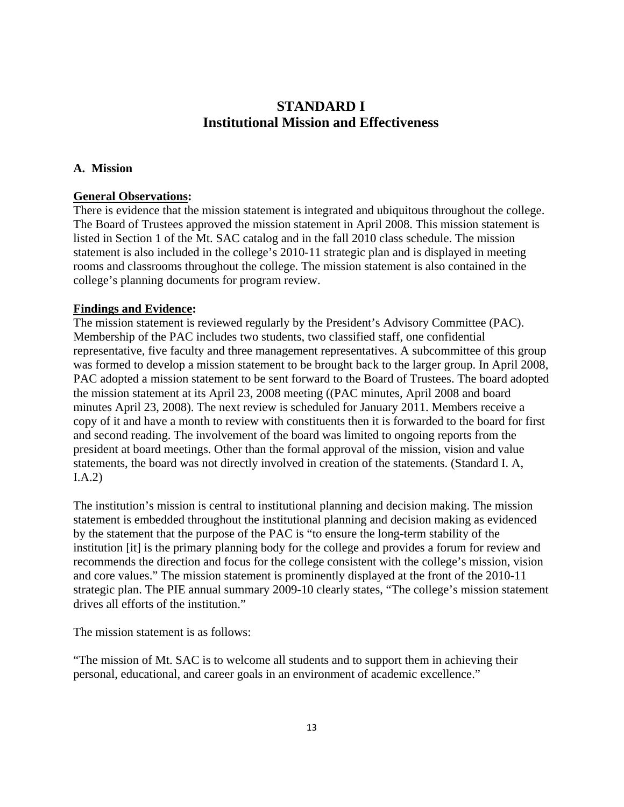# **STANDARD I Institutional Mission and Effectiveness**

# **A. Mission**

# **General Observations:**

There is evidence that the mission statement is integrated and ubiquitous throughout the college. The Board of Trustees approved the mission statement in April 2008. This mission statement is listed in Section 1 of the Mt. SAC catalog and in the fall 2010 class schedule. The mission statement is also included in the college's 2010-11 strategic plan and is displayed in meeting rooms and classrooms throughout the college. The mission statement is also contained in the college's planning documents for program review.

# **Findings and Evidence:**

The mission statement is reviewed regularly by the President's Advisory Committee (PAC). Membership of the PAC includes two students, two classified staff, one confidential representative, five faculty and three management representatives. A subcommittee of this group was formed to develop a mission statement to be brought back to the larger group. In April 2008, PAC adopted a mission statement to be sent forward to the Board of Trustees. The board adopted the mission statement at its April 23, 2008 meeting ((PAC minutes, April 2008 and board minutes April 23, 2008). The next review is scheduled for January 2011. Members receive a copy of it and have a month to review with constituents then it is forwarded to the board for first and second reading. The involvement of the board was limited to ongoing reports from the president at board meetings. Other than the formal approval of the mission, vision and value statements, the board was not directly involved in creation of the statements. (Standard I. A, I.A.2)

The institution's mission is central to institutional planning and decision making. The mission statement is embedded throughout the institutional planning and decision making as evidenced by the statement that the purpose of the PAC is "to ensure the long-term stability of the institution [it] is the primary planning body for the college and provides a forum for review and recommends the direction and focus for the college consistent with the college's mission, vision and core values." The mission statement is prominently displayed at the front of the 2010-11 strategic plan. The PIE annual summary 2009-10 clearly states, "The college's mission statement drives all efforts of the institution."

The mission statement is as follows:

"The mission of Mt. SAC is to welcome all students and to support them in achieving their personal, educational, and career goals in an environment of academic excellence."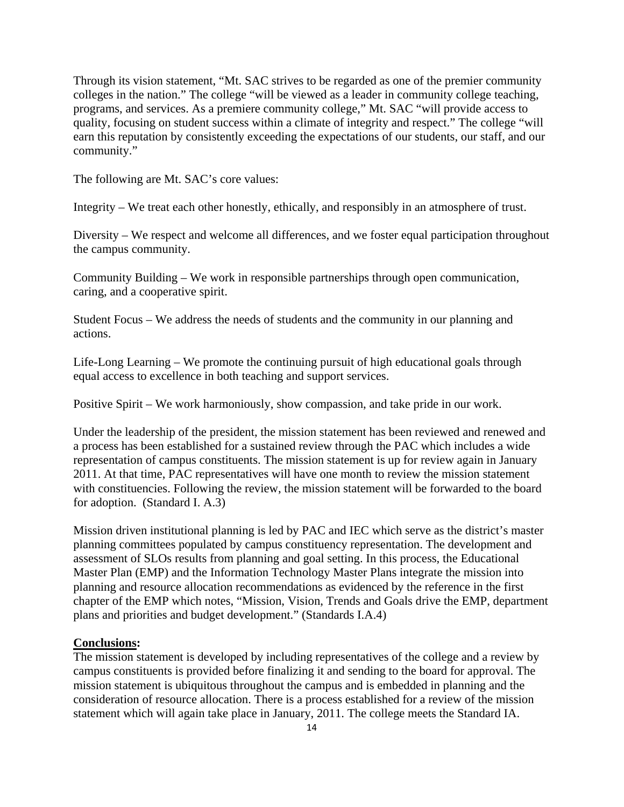Through its vision statement, "Mt. SAC strives to be regarded as one of the premier community colleges in the nation." The college "will be viewed as a leader in community college teaching, programs, and services. As a premiere community college," Mt. SAC "will provide access to quality, focusing on student success within a climate of integrity and respect." The college "will earn this reputation by consistently exceeding the expectations of our students, our staff, and our community."

The following are Mt. SAC's core values:

Integrity – We treat each other honestly, ethically, and responsibly in an atmosphere of trust.

Diversity – We respect and welcome all differences, and we foster equal participation throughout the campus community.

Community Building – We work in responsible partnerships through open communication, caring, and a cooperative spirit.

Student Focus – We address the needs of students and the community in our planning and actions.

Life-Long Learning – We promote the continuing pursuit of high educational goals through equal access to excellence in both teaching and support services.

Positive Spirit – We work harmoniously, show compassion, and take pride in our work.

Under the leadership of the president, the mission statement has been reviewed and renewed and a process has been established for a sustained review through the PAC which includes a wide representation of campus constituents. The mission statement is up for review again in January 2011. At that time, PAC representatives will have one month to review the mission statement with constituencies. Following the review, the mission statement will be forwarded to the board for adoption. (Standard I. A.3)

Mission driven institutional planning is led by PAC and IEC which serve as the district's master planning committees populated by campus constituency representation. The development and assessment of SLOs results from planning and goal setting. In this process, the Educational Master Plan (EMP) and the Information Technology Master Plans integrate the mission into planning and resource allocation recommendations as evidenced by the reference in the first chapter of the EMP which notes, "Mission, Vision, Trends and Goals drive the EMP, department plans and priorities and budget development." (Standards I.A.4)

#### **Conclusions:**

The mission statement is developed by including representatives of the college and a review by campus constituents is provided before finalizing it and sending to the board for approval. The mission statement is ubiquitous throughout the campus and is embedded in planning and the consideration of resource allocation. There is a process established for a review of the mission statement which will again take place in January, 2011. The college meets the Standard IA.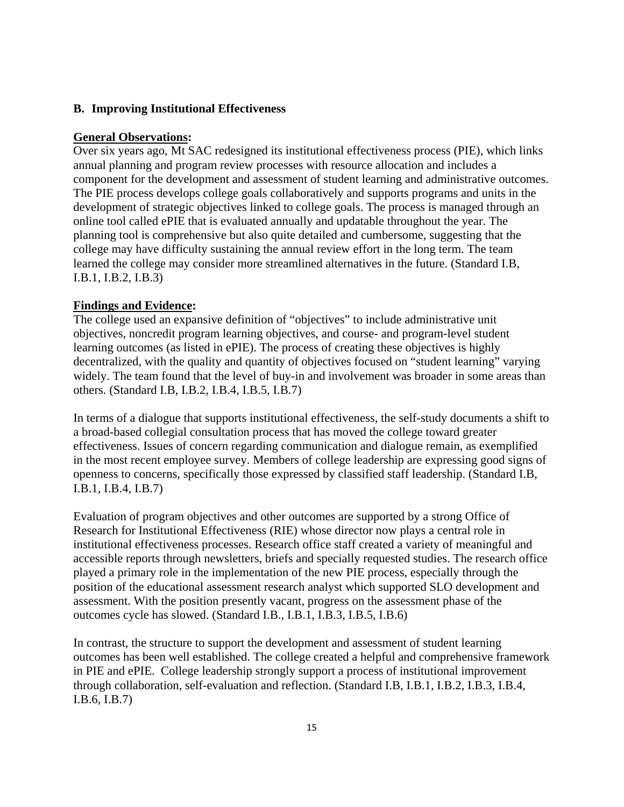## **B. Improving Institutional Effectiveness**

#### **General Observations:**

Over six years ago, Mt SAC redesigned its institutional effectiveness process (PIE), which links annual planning and program review processes with resource allocation and includes a component for the development and assessment of student learning and administrative outcomes. The PIE process develops college goals collaboratively and supports programs and units in the development of strategic objectives linked to college goals. The process is managed through an online tool called ePIE that is evaluated annually and updatable throughout the year. The planning tool is comprehensive but also quite detailed and cumbersome, suggesting that the college may have difficulty sustaining the annual review effort in the long term. The team learned the college may consider more streamlined alternatives in the future. (Standard I.B, I.B.1, I.B.2, I.B.3)

#### **Findings and Evidence:**

The college used an expansive definition of "objectives" to include administrative unit objectives, noncredit program learning objectives, and course- and program-level student learning outcomes (as listed in ePIE). The process of creating these objectives is highly decentralized, with the quality and quantity of objectives focused on "student learning" varying widely. The team found that the level of buy-in and involvement was broader in some areas than others. (Standard I.B, I.B.2, I.B.4, I.B.5, I.B.7)

In terms of a dialogue that supports institutional effectiveness, the self-study documents a shift to a broad-based collegial consultation process that has moved the college toward greater effectiveness. Issues of concern regarding communication and dialogue remain, as exemplified in the most recent employee survey. Members of college leadership are expressing good signs of openness to concerns, specifically those expressed by classified staff leadership. (Standard I.B, I.B.1, I.B.4, I.B.7)

Evaluation of program objectives and other outcomes are supported by a strong Office of Research for Institutional Effectiveness (RIE) whose director now plays a central role in institutional effectiveness processes. Research office staff created a variety of meaningful and accessible reports through newsletters, briefs and specially requested studies. The research office played a primary role in the implementation of the new PIE process, especially through the position of the educational assessment research analyst which supported SLO development and assessment. With the position presently vacant, progress on the assessment phase of the outcomes cycle has slowed. (Standard I.B., I.B.1, I.B.3, I.B.5, I.B.6)

In contrast, the structure to support the development and assessment of student learning outcomes has been well established. The college created a helpful and comprehensive framework in PIE and ePIE. College leadership strongly support a process of institutional improvement through collaboration, self-evaluation and reflection. (Standard I.B, I.B.1, I.B.2, I.B.3, I.B.4, I.B.6, I.B.7)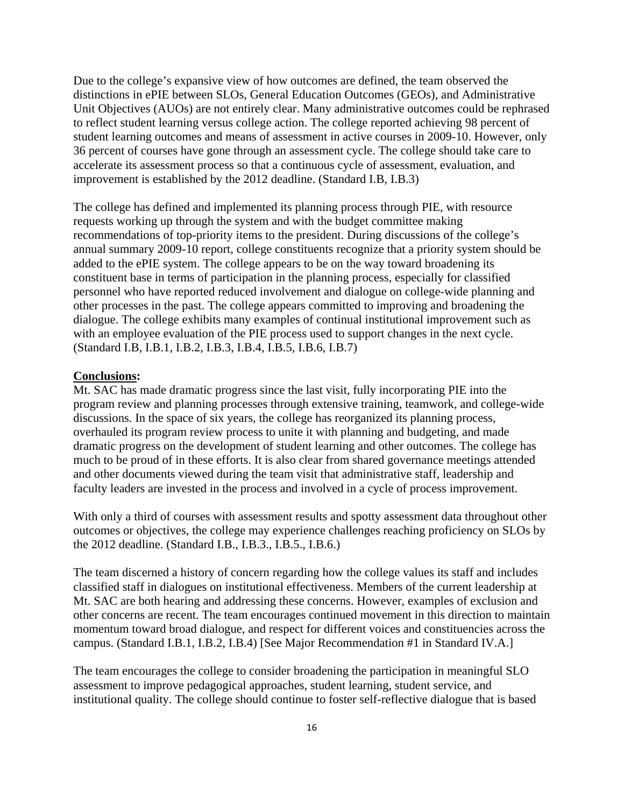Due to the college's expansive view of how outcomes are defined, the team observed the distinctions in ePIE between SLOs, General Education Outcomes (GEOs), and Administrative Unit Objectives (AUOs) are not entirely clear. Many administrative outcomes could be rephrased to reflect student learning versus college action. The college reported achieving 98 percent of student learning outcomes and means of assessment in active courses in 2009-10. However, only 36 percent of courses have gone through an assessment cycle. The college should take care to accelerate its assessment process so that a continuous cycle of assessment, evaluation, and improvement is established by the 2012 deadline. (Standard I.B, I.B.3)

The college has defined and implemented its planning process through PIE, with resource requests working up through the system and with the budget committee making recommendations of top-priority items to the president. During discussions of the college's annual summary 2009-10 report, college constituents recognize that a priority system should be added to the ePIE system. The college appears to be on the way toward broadening its constituent base in terms of participation in the planning process, especially for classified personnel who have reported reduced involvement and dialogue on college-wide planning and other processes in the past. The college appears committed to improving and broadening the dialogue. The college exhibits many examples of continual institutional improvement such as with an employee evaluation of the PIE process used to support changes in the next cycle. (Standard I.B, I.B.1, I.B.2, I.B.3, I.B.4, I.B.5, I.B.6, I.B.7)

#### **Conclusions:**

Mt. SAC has made dramatic progress since the last visit, fully incorporating PIE into the program review and planning processes through extensive training, teamwork, and college-wide discussions. In the space of six years, the college has reorganized its planning process, overhauled its program review process to unite it with planning and budgeting, and made dramatic progress on the development of student learning and other outcomes. The college has much to be proud of in these efforts. It is also clear from shared governance meetings attended and other documents viewed during the team visit that administrative staff, leadership and faculty leaders are invested in the process and involved in a cycle of process improvement.

With only a third of courses with assessment results and spotty assessment data throughout other outcomes or objectives, the college may experience challenges reaching proficiency on SLOs by the 2012 deadline. (Standard I.B., I.B.3., I.B.5., I.B.6.)

The team discerned a history of concern regarding how the college values its staff and includes classified staff in dialogues on institutional effectiveness. Members of the current leadership at Mt. SAC are both hearing and addressing these concerns. However, examples of exclusion and other concerns are recent. The team encourages continued movement in this direction to maintain momentum toward broad dialogue, and respect for different voices and constituencies across the campus. (Standard I.B.1, I.B.2, I.B.4) [See Major Recommendation #1 in Standard IV.A.]

The team encourages the college to consider broadening the participation in meaningful SLO assessment to improve pedagogical approaches, student learning, student service, and institutional quality. The college should continue to foster self-reflective dialogue that is based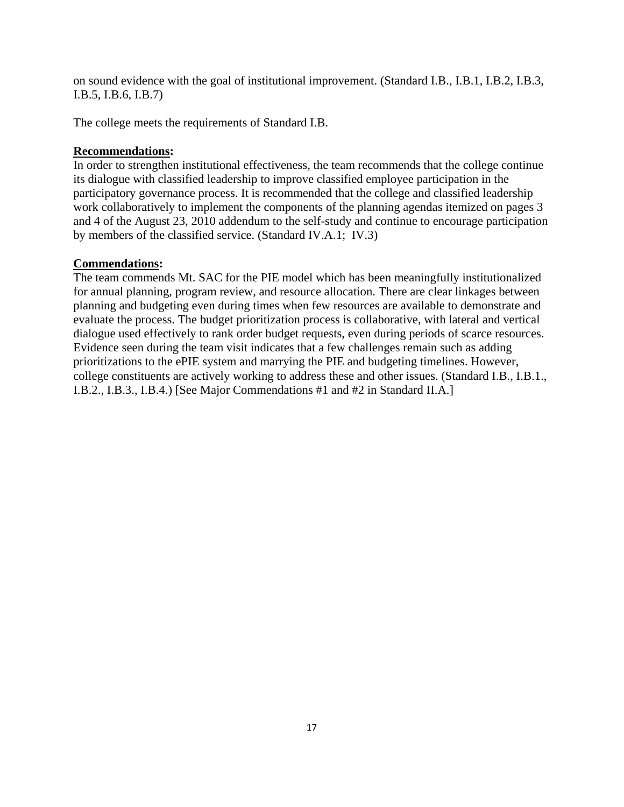on sound evidence with the goal of institutional improvement. (Standard I.B., I.B.1, I.B.2, I.B.3, I.B.5, I.B.6, I.B.7)

The college meets the requirements of Standard I.B.

# **Recommendations:**

In order to strengthen institutional effectiveness, the team recommends that the college continue its dialogue with classified leadership to improve classified employee participation in the participatory governance process. It is recommended that the college and classified leadership work collaboratively to implement the components of the planning agendas itemized on pages 3 and 4 of the August 23, 2010 addendum to the self-study and continue to encourage participation by members of the classified service. (Standard IV.A.1; IV.3)

# **Commendations:**

The team commends Mt. SAC for the PIE model which has been meaningfully institutionalized for annual planning, program review, and resource allocation. There are clear linkages between planning and budgeting even during times when few resources are available to demonstrate and evaluate the process. The budget prioritization process is collaborative, with lateral and vertical dialogue used effectively to rank order budget requests, even during periods of scarce resources. Evidence seen during the team visit indicates that a few challenges remain such as adding prioritizations to the ePIE system and marrying the PIE and budgeting timelines. However, college constituents are actively working to address these and other issues. (Standard I.B., I.B.1., I.B.2., I.B.3., I.B.4.) [See Major Commendations #1 and #2 in Standard II.A.]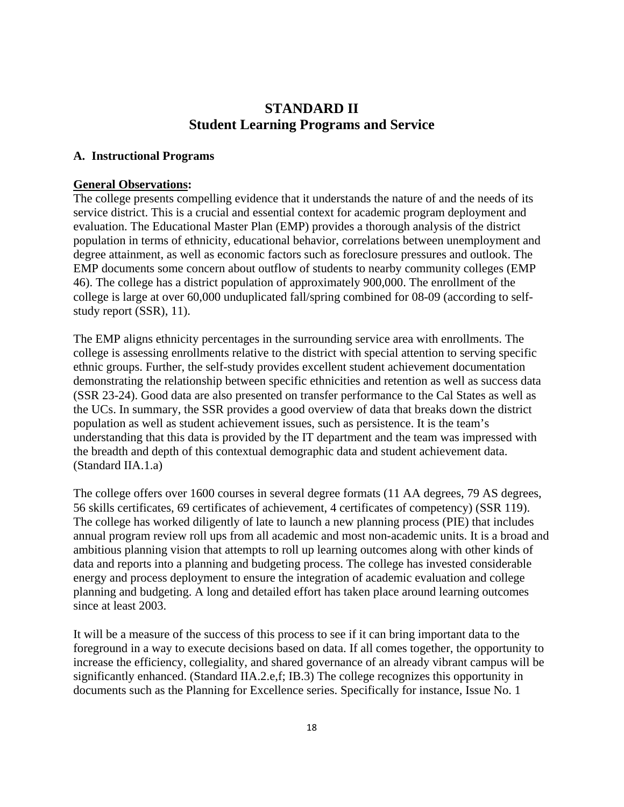# **STANDARD II Student Learning Programs and Service**

## **A. Instructional Programs**

### **General Observations:**

The college presents compelling evidence that it understands the nature of and the needs of its service district. This is a crucial and essential context for academic program deployment and evaluation. The Educational Master Plan (EMP) provides a thorough analysis of the district population in terms of ethnicity, educational behavior, correlations between unemployment and degree attainment, as well as economic factors such as foreclosure pressures and outlook. The EMP documents some concern about outflow of students to nearby community colleges (EMP 46). The college has a district population of approximately 900,000. The enrollment of the college is large at over 60,000 unduplicated fall/spring combined for 08-09 (according to selfstudy report (SSR), 11).

The EMP aligns ethnicity percentages in the surrounding service area with enrollments. The college is assessing enrollments relative to the district with special attention to serving specific ethnic groups. Further, the self-study provides excellent student achievement documentation demonstrating the relationship between specific ethnicities and retention as well as success data (SSR 23-24). Good data are also presented on transfer performance to the Cal States as well as the UCs. In summary, the SSR provides a good overview of data that breaks down the district population as well as student achievement issues, such as persistence. It is the team's understanding that this data is provided by the IT department and the team was impressed with the breadth and depth of this contextual demographic data and student achievement data. (Standard IIA.1.a)

The college offers over 1600 courses in several degree formats (11 AA degrees, 79 AS degrees, 56 skills certificates, 69 certificates of achievement, 4 certificates of competency) (SSR 119). The college has worked diligently of late to launch a new planning process (PIE) that includes annual program review roll ups from all academic and most non-academic units. It is a broad and ambitious planning vision that attempts to roll up learning outcomes along with other kinds of data and reports into a planning and budgeting process. The college has invested considerable energy and process deployment to ensure the integration of academic evaluation and college planning and budgeting. A long and detailed effort has taken place around learning outcomes since at least 2003.

It will be a measure of the success of this process to see if it can bring important data to the foreground in a way to execute decisions based on data. If all comes together, the opportunity to increase the efficiency, collegiality, and shared governance of an already vibrant campus will be significantly enhanced. (Standard IIA.2.e,f; IB.3) The college recognizes this opportunity in documents such as the Planning for Excellence series. Specifically for instance, Issue No. 1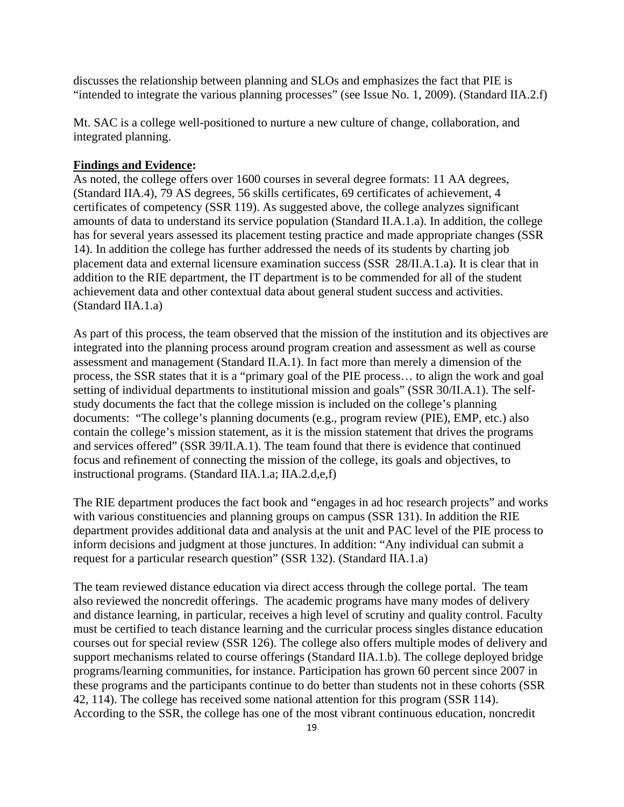discusses the relationship between planning and SLOs and emphasizes the fact that PIE is "intended to integrate the various planning processes" (see Issue No. 1, 2009). (Standard IIA.2.f)

Mt. SAC is a college well-positioned to nurture a new culture of change, collaboration, and integrated planning.

#### **Findings and Evidence:**

As noted, the college offers over 1600 courses in several degree formats: 11 AA degrees, (Standard IIA.4), 79 AS degrees, 56 skills certificates, 69 certificates of achievement, 4 certificates of competency (SSR 119). As suggested above, the college analyzes significant amounts of data to understand its service population (Standard II.A.1.a). In addition, the college has for several years assessed its placement testing practice and made appropriate changes (SSR 14). In addition the college has further addressed the needs of its students by charting job placement data and external licensure examination success (SSR 28/II.A.1.a). It is clear that in addition to the RIE department, the IT department is to be commended for all of the student achievement data and other contextual data about general student success and activities. (Standard IIA.1.a)

As part of this process, the team observed that the mission of the institution and its objectives are integrated into the planning process around program creation and assessment as well as course assessment and management (Standard II.A.1). In fact more than merely a dimension of the process, the SSR states that it is a "primary goal of the PIE process… to align the work and goal setting of individual departments to institutional mission and goals" (SSR 30/II.A.1). The selfstudy documents the fact that the college mission is included on the college's planning documents: "The college's planning documents (e.g., program review (PIE), EMP, etc.) also contain the college's mission statement, as it is the mission statement that drives the programs and services offered" (SSR 39/II.A.1). The team found that there is evidence that continued focus and refinement of connecting the mission of the college, its goals and objectives, to instructional programs. (Standard IIA.1.a; IIA.2.d,e,f)

The RIE department produces the fact book and "engages in ad hoc research projects" and works with various constituencies and planning groups on campus (SSR 131). In addition the RIE department provides additional data and analysis at the unit and PAC level of the PIE process to inform decisions and judgment at those junctures. In addition: "Any individual can submit a request for a particular research question" (SSR 132). (Standard IIA.1.a)

The team reviewed distance education via direct access through the college portal. The team also reviewed the noncredit offerings. The academic programs have many modes of delivery and distance learning, in particular, receives a high level of scrutiny and quality control. Faculty must be certified to teach distance learning and the curricular process singles distance education courses out for special review (SSR 126). The college also offers multiple modes of delivery and support mechanisms related to course offerings (Standard IIA.1.b). The college deployed bridge programs/learning communities, for instance. Participation has grown 60 percent since 2007 in these programs and the participants continue to do better than students not in these cohorts (SSR 42, 114). The college has received some national attention for this program (SSR 114). According to the SSR, the college has one of the most vibrant continuous education, noncredit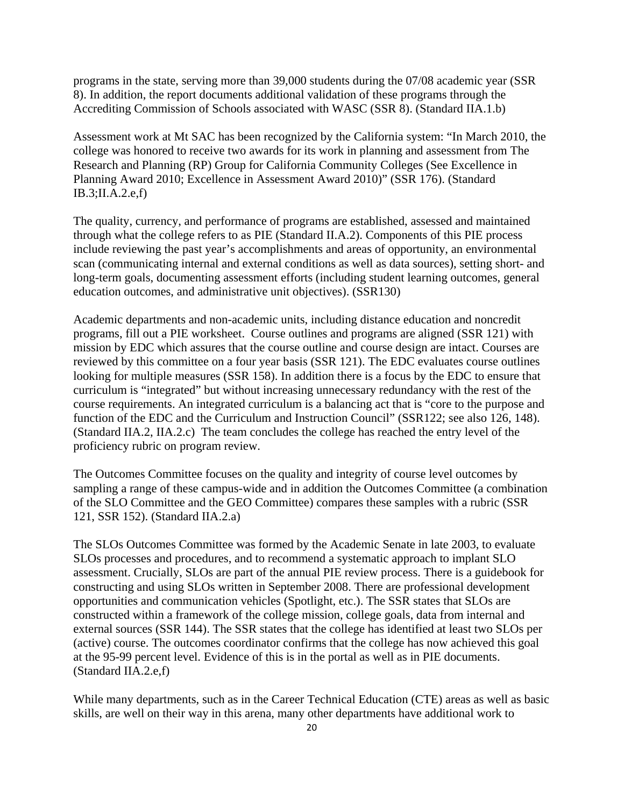programs in the state, serving more than 39,000 students during the 07/08 academic year (SSR 8). In addition, the report documents additional validation of these programs through the Accrediting Commission of Schools associated with WASC (SSR 8). (Standard IIA.1.b)

Assessment work at Mt SAC has been recognized by the California system: "In March 2010, the college was honored to receive two awards for its work in planning and assessment from The Research and Planning (RP) Group for California Community Colleges (See Excellence in Planning Award 2010; Excellence in Assessment Award 2010)" (SSR 176). (Standard IB.3;II.A.2.e,f)

The quality, currency, and performance of programs are established, assessed and maintained through what the college refers to as PIE (Standard II.A.2). Components of this PIE process include reviewing the past year's accomplishments and areas of opportunity, an environmental scan (communicating internal and external conditions as well as data sources), setting short- and long-term goals, documenting assessment efforts (including student learning outcomes, general education outcomes, and administrative unit objectives). (SSR130)

Academic departments and non-academic units, including distance education and noncredit programs, fill out a PIE worksheet. Course outlines and programs are aligned (SSR 121) with mission by EDC which assures that the course outline and course design are intact. Courses are reviewed by this committee on a four year basis (SSR 121). The EDC evaluates course outlines looking for multiple measures (SSR 158). In addition there is a focus by the EDC to ensure that curriculum is "integrated" but without increasing unnecessary redundancy with the rest of the course requirements. An integrated curriculum is a balancing act that is "core to the purpose and function of the EDC and the Curriculum and Instruction Council" (SSR122; see also 126, 148). (Standard IIA.2, IIA.2.c) The team concludes the college has reached the entry level of the proficiency rubric on program review.

The Outcomes Committee focuses on the quality and integrity of course level outcomes by sampling a range of these campus-wide and in addition the Outcomes Committee (a combination of the SLO Committee and the GEO Committee) compares these samples with a rubric (SSR 121, SSR 152). (Standard IIA.2.a)

The SLOs Outcomes Committee was formed by the Academic Senate in late 2003, to evaluate SLOs processes and procedures, and to recommend a systematic approach to implant SLO assessment. Crucially, SLOs are part of the annual PIE review process. There is a guidebook for constructing and using SLOs written in September 2008. There are professional development opportunities and communication vehicles (Spotlight, etc.). The SSR states that SLOs are constructed within a framework of the college mission, college goals, data from internal and external sources (SSR 144). The SSR states that the college has identified at least two SLOs per (active) course. The outcomes coordinator confirms that the college has now achieved this goal at the 95-99 percent level. Evidence of this is in the portal as well as in PIE documents. (Standard IIA.2.e,f)

While many departments, such as in the Career Technical Education (CTE) areas as well as basic skills, are well on their way in this arena, many other departments have additional work to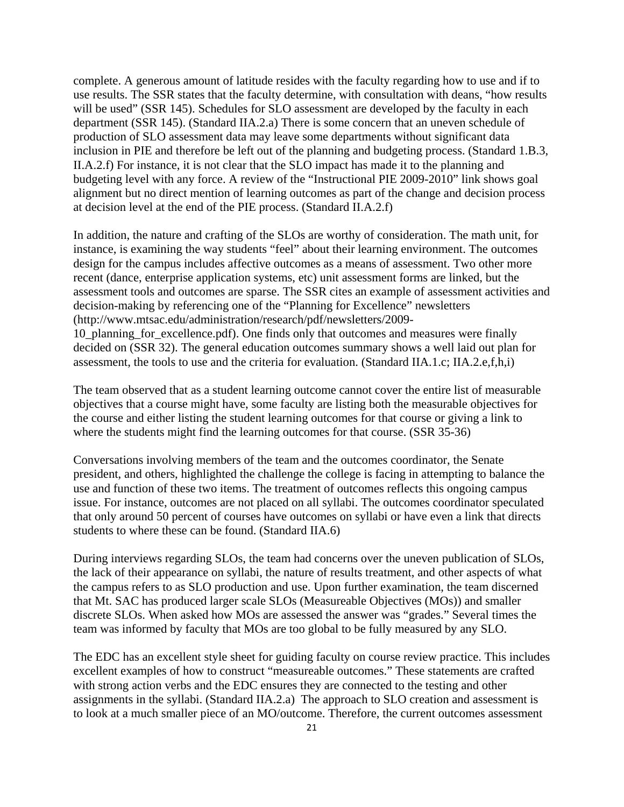complete. A generous amount of latitude resides with the faculty regarding how to use and if to use results. The SSR states that the faculty determine, with consultation with deans, "how results will be used" (SSR 145). Schedules for SLO assessment are developed by the faculty in each department (SSR 145). (Standard IIA.2.a) There is some concern that an uneven schedule of production of SLO assessment data may leave some departments without significant data inclusion in PIE and therefore be left out of the planning and budgeting process. (Standard 1.B.3, II.A.2.f) For instance, it is not clear that the SLO impact has made it to the planning and budgeting level with any force. A review of the "Instructional PIE 2009-2010" link shows goal alignment but no direct mention of learning outcomes as part of the change and decision process at decision level at the end of the PIE process. (Standard II.A.2.f)

In addition, the nature and crafting of the SLOs are worthy of consideration. The math unit, for instance, is examining the way students "feel" about their learning environment. The outcomes design for the campus includes affective outcomes as a means of assessment. Two other more recent (dance, enterprise application systems, etc) unit assessment forms are linked, but the assessment tools and outcomes are sparse. The SSR cites an example of assessment activities and decision-making by referencing one of the "Planning for Excellence" newsletters (http://www.mtsac.edu/administration/research/pdf/newsletters/2009- 10\_planning\_for\_excellence.pdf). One finds only that outcomes and measures were finally decided on (SSR 32). The general education outcomes summary shows a well laid out plan for assessment, the tools to use and the criteria for evaluation. (Standard IIA.1.c; IIA.2.e,f,h,i)

The team observed that as a student learning outcome cannot cover the entire list of measurable objectives that a course might have, some faculty are listing both the measurable objectives for the course and either listing the student learning outcomes for that course or giving a link to where the students might find the learning outcomes for that course. (SSR 35-36)

Conversations involving members of the team and the outcomes coordinator, the Senate president, and others, highlighted the challenge the college is facing in attempting to balance the use and function of these two items. The treatment of outcomes reflects this ongoing campus issue. For instance, outcomes are not placed on all syllabi. The outcomes coordinator speculated that only around 50 percent of courses have outcomes on syllabi or have even a link that directs students to where these can be found. (Standard IIA.6)

During interviews regarding SLOs, the team had concerns over the uneven publication of SLOs, the lack of their appearance on syllabi, the nature of results treatment, and other aspects of what the campus refers to as SLO production and use. Upon further examination, the team discerned that Mt. SAC has produced larger scale SLOs (Measureable Objectives (MOs)) and smaller discrete SLOs. When asked how MOs are assessed the answer was "grades." Several times the team was informed by faculty that MOs are too global to be fully measured by any SLO.

The EDC has an excellent style sheet for guiding faculty on course review practice. This includes excellent examples of how to construct "measureable outcomes." These statements are crafted with strong action verbs and the EDC ensures they are connected to the testing and other assignments in the syllabi. (Standard IIA.2.a) The approach to SLO creation and assessment is to look at a much smaller piece of an MO/outcome. Therefore, the current outcomes assessment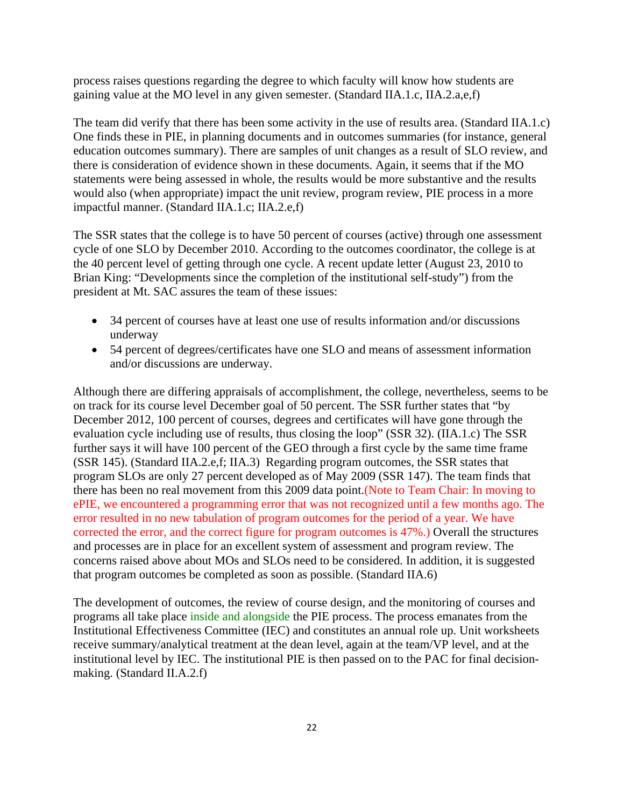process raises questions regarding the degree to which faculty will know how students are gaining value at the MO level in any given semester. (Standard IIA.1.c, IIA.2.a,e,f)

The team did verify that there has been some activity in the use of results area. (Standard IIA.1.c) One finds these in PIE, in planning documents and in outcomes summaries (for instance, general education outcomes summary). There are samples of unit changes as a result of SLO review, and there is consideration of evidence shown in these documents. Again, it seems that if the MO statements were being assessed in whole, the results would be more substantive and the results would also (when appropriate) impact the unit review, program review, PIE process in a more impactful manner. (Standard IIA.1.c; IIA.2.e,f)

The SSR states that the college is to have 50 percent of courses (active) through one assessment cycle of one SLO by December 2010. According to the outcomes coordinator, the college is at the 40 percent level of getting through one cycle. A recent update letter (August 23, 2010 to Brian King: "Developments since the completion of the institutional self-study") from the president at Mt. SAC assures the team of these issues:

- 34 percent of courses have at least one use of results information and/or discussions underway
- 54 percent of degrees/certificates have one SLO and means of assessment information and/or discussions are underway.

Although there are differing appraisals of accomplishment, the college, nevertheless, seems to be on track for its course level December goal of 50 percent. The SSR further states that "by December 2012, 100 percent of courses, degrees and certificates will have gone through the evaluation cycle including use of results, thus closing the loop" (SSR 32). (IIA.1.c) The SSR further says it will have 100 percent of the GEO through a first cycle by the same time frame (SSR 145). (Standard IIA.2.e,f; IIA.3) Regarding program outcomes, the SSR states that program SLOs are only 27 percent developed as of May 2009 (SSR 147). The team finds that there has been no real movement from this 2009 data point.(Note to Team Chair: In moving to ePIE, we encountered a programming error that was not recognized until a few months ago. The error resulted in no new tabulation of program outcomes for the period of a year. We have corrected the error, and the correct figure for program outcomes is 47%.) Overall the structures and processes are in place for an excellent system of assessment and program review. The concerns raised above about MOs and SLOs need to be considered. In addition, it is suggested that program outcomes be completed as soon as possible. (Standard IIA.6)

The development of outcomes, the review of course design, and the monitoring of courses and programs all take place inside and alongside the PIE process. The process emanates from the Institutional Effectiveness Committee (IEC) and constitutes an annual role up. Unit worksheets receive summary/analytical treatment at the dean level, again at the team/VP level, and at the institutional level by IEC. The institutional PIE is then passed on to the PAC for final decisionmaking. (Standard II.A.2.f)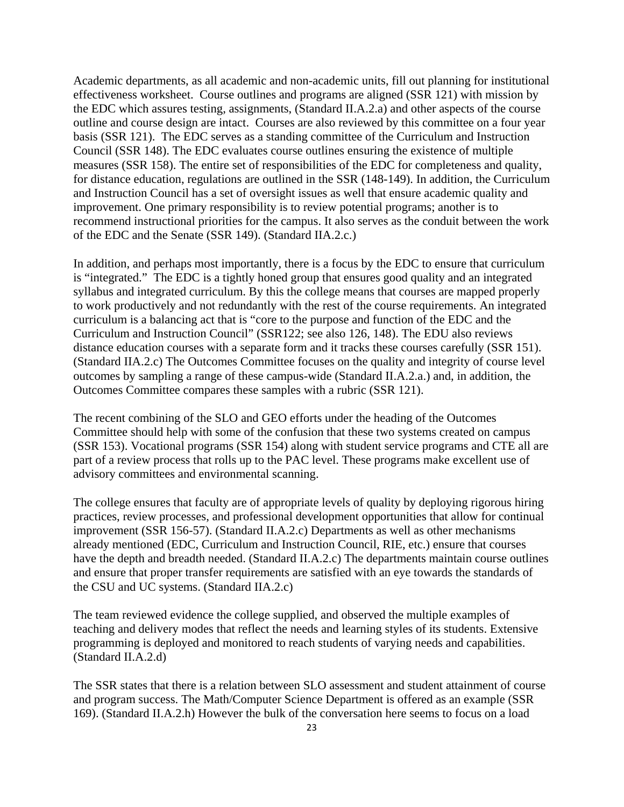Academic departments, as all academic and non-academic units, fill out planning for institutional effectiveness worksheet. Course outlines and programs are aligned (SSR 121) with mission by the EDC which assures testing, assignments, (Standard II.A.2.a) and other aspects of the course outline and course design are intact. Courses are also reviewed by this committee on a four year basis (SSR 121). The EDC serves as a standing committee of the Curriculum and Instruction Council (SSR 148). The EDC evaluates course outlines ensuring the existence of multiple measures (SSR 158). The entire set of responsibilities of the EDC for completeness and quality, for distance education, regulations are outlined in the SSR (148-149). In addition, the Curriculum and Instruction Council has a set of oversight issues as well that ensure academic quality and improvement. One primary responsibility is to review potential programs; another is to recommend instructional priorities for the campus. It also serves as the conduit between the work of the EDC and the Senate (SSR 149). (Standard IIA.2.c.)

In addition, and perhaps most importantly, there is a focus by the EDC to ensure that curriculum is "integrated." The EDC is a tightly honed group that ensures good quality and an integrated syllabus and integrated curriculum. By this the college means that courses are mapped properly to work productively and not redundantly with the rest of the course requirements. An integrated curriculum is a balancing act that is "core to the purpose and function of the EDC and the Curriculum and Instruction Council" (SSR122; see also 126, 148). The EDU also reviews distance education courses with a separate form and it tracks these courses carefully (SSR 151). (Standard IIA.2.c) The Outcomes Committee focuses on the quality and integrity of course level outcomes by sampling a range of these campus-wide (Standard II.A.2.a.) and, in addition, the Outcomes Committee compares these samples with a rubric (SSR 121).

The recent combining of the SLO and GEO efforts under the heading of the Outcomes Committee should help with some of the confusion that these two systems created on campus (SSR 153). Vocational programs (SSR 154) along with student service programs and CTE all are part of a review process that rolls up to the PAC level. These programs make excellent use of advisory committees and environmental scanning.

The college ensures that faculty are of appropriate levels of quality by deploying rigorous hiring practices, review processes, and professional development opportunities that allow for continual improvement (SSR 156-57). (Standard II.A.2.c) Departments as well as other mechanisms already mentioned (EDC, Curriculum and Instruction Council, RIE, etc.) ensure that courses have the depth and breadth needed. (Standard II.A.2.c) The departments maintain course outlines and ensure that proper transfer requirements are satisfied with an eye towards the standards of the CSU and UC systems. (Standard IIA.2.c)

The team reviewed evidence the college supplied, and observed the multiple examples of teaching and delivery modes that reflect the needs and learning styles of its students. Extensive programming is deployed and monitored to reach students of varying needs and capabilities. (Standard II.A.2.d)

The SSR states that there is a relation between SLO assessment and student attainment of course and program success. The Math/Computer Science Department is offered as an example (SSR 169). (Standard II.A.2.h) However the bulk of the conversation here seems to focus on a load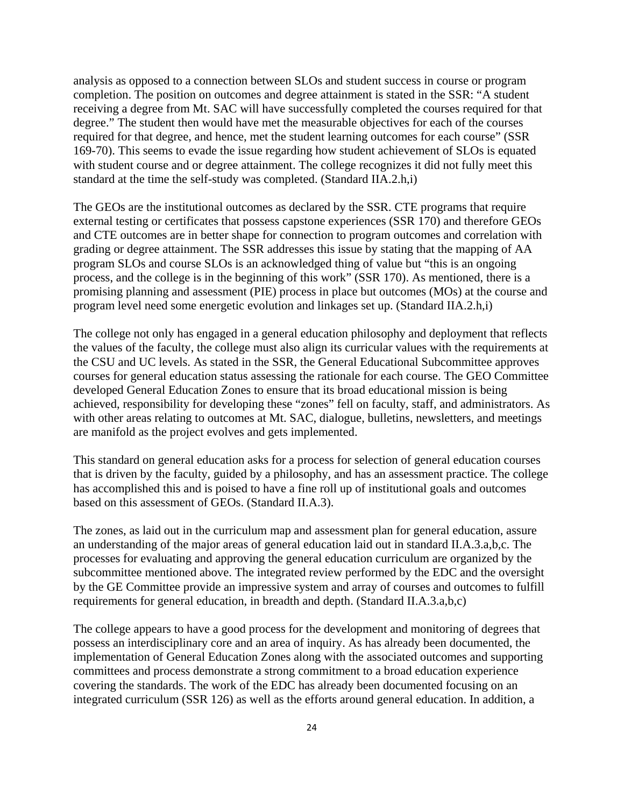analysis as opposed to a connection between SLOs and student success in course or program completion. The position on outcomes and degree attainment is stated in the SSR: "A student receiving a degree from Mt. SAC will have successfully completed the courses required for that degree." The student then would have met the measurable objectives for each of the courses required for that degree, and hence, met the student learning outcomes for each course" (SSR 169-70). This seems to evade the issue regarding how student achievement of SLOs is equated with student course and or degree attainment. The college recognizes it did not fully meet this standard at the time the self-study was completed. (Standard IIA.2.h,i)

The GEOs are the institutional outcomes as declared by the SSR. CTE programs that require external testing or certificates that possess capstone experiences (SSR 170) and therefore GEOs and CTE outcomes are in better shape for connection to program outcomes and correlation with grading or degree attainment. The SSR addresses this issue by stating that the mapping of AA program SLOs and course SLOs is an acknowledged thing of value but "this is an ongoing process, and the college is in the beginning of this work" (SSR 170). As mentioned, there is a promising planning and assessment (PIE) process in place but outcomes (MOs) at the course and program level need some energetic evolution and linkages set up. (Standard IIA.2.h,i)

The college not only has engaged in a general education philosophy and deployment that reflects the values of the faculty, the college must also align its curricular values with the requirements at the CSU and UC levels. As stated in the SSR, the General Educational Subcommittee approves courses for general education status assessing the rationale for each course. The GEO Committee developed General Education Zones to ensure that its broad educational mission is being achieved, responsibility for developing these "zones" fell on faculty, staff, and administrators. As with other areas relating to outcomes at Mt. SAC, dialogue, bulletins, newsletters, and meetings are manifold as the project evolves and gets implemented.

This standard on general education asks for a process for selection of general education courses that is driven by the faculty, guided by a philosophy, and has an assessment practice. The college has accomplished this and is poised to have a fine roll up of institutional goals and outcomes based on this assessment of GEOs. (Standard II.A.3).

The zones, as laid out in the curriculum map and assessment plan for general education, assure an understanding of the major areas of general education laid out in standard II.A.3.a,b,c. The processes for evaluating and approving the general education curriculum are organized by the subcommittee mentioned above. The integrated review performed by the EDC and the oversight by the GE Committee provide an impressive system and array of courses and outcomes to fulfill requirements for general education, in breadth and depth. (Standard II.A.3.a,b,c)

The college appears to have a good process for the development and monitoring of degrees that possess an interdisciplinary core and an area of inquiry. As has already been documented, the implementation of General Education Zones along with the associated outcomes and supporting committees and process demonstrate a strong commitment to a broad education experience covering the standards. The work of the EDC has already been documented focusing on an integrated curriculum (SSR 126) as well as the efforts around general education. In addition, a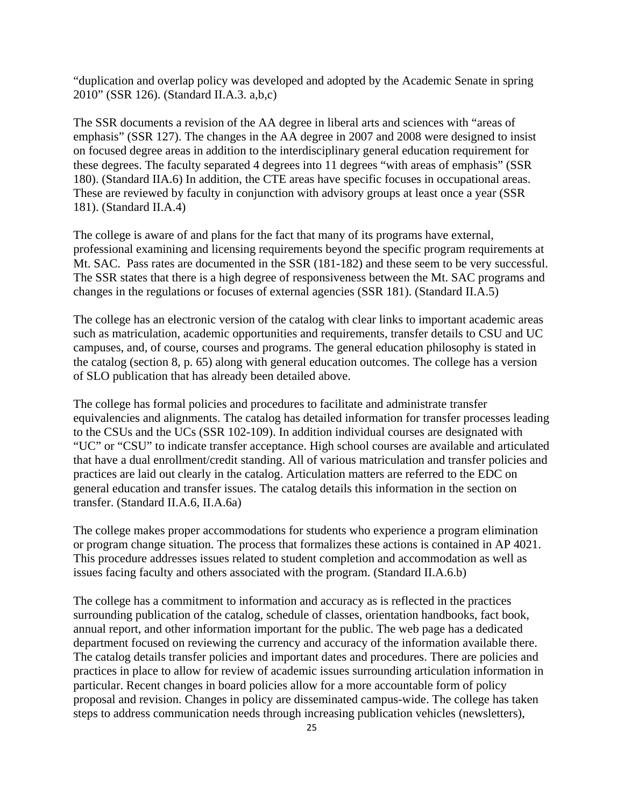"duplication and overlap policy was developed and adopted by the Academic Senate in spring 2010" (SSR 126). (Standard II.A.3. a,b,c)

The SSR documents a revision of the AA degree in liberal arts and sciences with "areas of emphasis" (SSR 127). The changes in the AA degree in 2007 and 2008 were designed to insist on focused degree areas in addition to the interdisciplinary general education requirement for these degrees. The faculty separated 4 degrees into 11 degrees "with areas of emphasis" (SSR 180). (Standard IIA.6) In addition, the CTE areas have specific focuses in occupational areas. These are reviewed by faculty in conjunction with advisory groups at least once a year (SSR 181). (Standard II.A.4)

The college is aware of and plans for the fact that many of its programs have external, professional examining and licensing requirements beyond the specific program requirements at Mt. SAC. Pass rates are documented in the SSR (181-182) and these seem to be very successful. The SSR states that there is a high degree of responsiveness between the Mt. SAC programs and changes in the regulations or focuses of external agencies (SSR 181). (Standard II.A.5)

The college has an electronic version of the catalog with clear links to important academic areas such as matriculation, academic opportunities and requirements, transfer details to CSU and UC campuses, and, of course, courses and programs. The general education philosophy is stated in the catalog (section 8, p. 65) along with general education outcomes. The college has a version of SLO publication that has already been detailed above.

The college has formal policies and procedures to facilitate and administrate transfer equivalencies and alignments. The catalog has detailed information for transfer processes leading to the CSUs and the UCs (SSR 102-109). In addition individual courses are designated with "UC" or "CSU" to indicate transfer acceptance. High school courses are available and articulated that have a dual enrollment/credit standing. All of various matriculation and transfer policies and practices are laid out clearly in the catalog. Articulation matters are referred to the EDC on general education and transfer issues. The catalog details this information in the section on transfer. (Standard II.A.6, II.A.6a)

The college makes proper accommodations for students who experience a program elimination or program change situation. The process that formalizes these actions is contained in AP 4021. This procedure addresses issues related to student completion and accommodation as well as issues facing faculty and others associated with the program. (Standard II.A.6.b)

The college has a commitment to information and accuracy as is reflected in the practices surrounding publication of the catalog, schedule of classes, orientation handbooks, fact book, annual report, and other information important for the public. The web page has a dedicated department focused on reviewing the currency and accuracy of the information available there. The catalog details transfer policies and important dates and procedures. There are policies and practices in place to allow for review of academic issues surrounding articulation information in particular. Recent changes in board policies allow for a more accountable form of policy proposal and revision. Changes in policy are disseminated campus-wide. The college has taken steps to address communication needs through increasing publication vehicles (newsletters),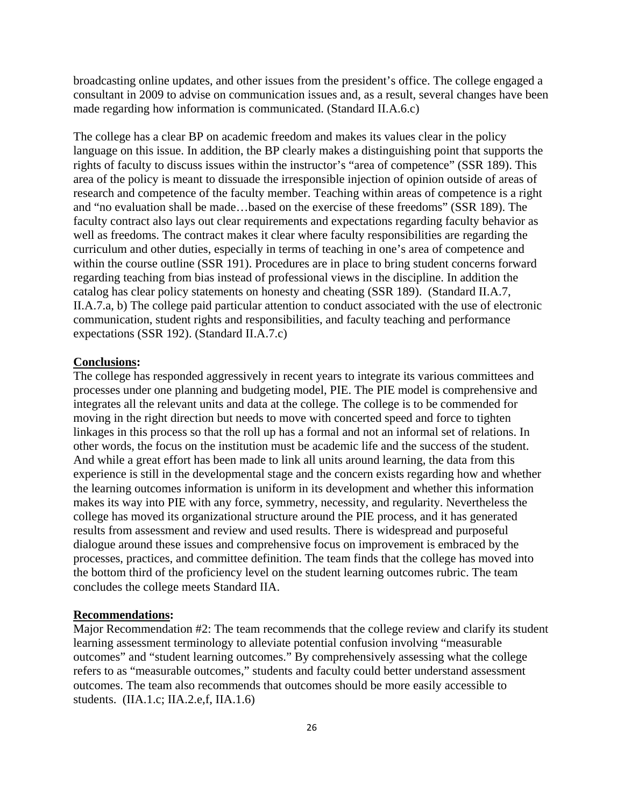broadcasting online updates, and other issues from the president's office. The college engaged a consultant in 2009 to advise on communication issues and, as a result, several changes have been made regarding how information is communicated. (Standard II.A.6.c)

The college has a clear BP on academic freedom and makes its values clear in the policy language on this issue. In addition, the BP clearly makes a distinguishing point that supports the rights of faculty to discuss issues within the instructor's "area of competence" (SSR 189). This area of the policy is meant to dissuade the irresponsible injection of opinion outside of areas of research and competence of the faculty member. Teaching within areas of competence is a right and "no evaluation shall be made…based on the exercise of these freedoms" (SSR 189). The faculty contract also lays out clear requirements and expectations regarding faculty behavior as well as freedoms. The contract makes it clear where faculty responsibilities are regarding the curriculum and other duties, especially in terms of teaching in one's area of competence and within the course outline (SSR 191). Procedures are in place to bring student concerns forward regarding teaching from bias instead of professional views in the discipline. In addition the catalog has clear policy statements on honesty and cheating (SSR 189). (Standard II.A.7, II.A.7.a, b) The college paid particular attention to conduct associated with the use of electronic communication, student rights and responsibilities, and faculty teaching and performance expectations (SSR 192). (Standard II.A.7.c)

#### **Conclusions:**

The college has responded aggressively in recent years to integrate its various committees and processes under one planning and budgeting model, PIE. The PIE model is comprehensive and integrates all the relevant units and data at the college. The college is to be commended for moving in the right direction but needs to move with concerted speed and force to tighten linkages in this process so that the roll up has a formal and not an informal set of relations. In other words, the focus on the institution must be academic life and the success of the student. And while a great effort has been made to link all units around learning, the data from this experience is still in the developmental stage and the concern exists regarding how and whether the learning outcomes information is uniform in its development and whether this information makes its way into PIE with any force, symmetry, necessity, and regularity. Nevertheless the college has moved its organizational structure around the PIE process, and it has generated results from assessment and review and used results. There is widespread and purposeful dialogue around these issues and comprehensive focus on improvement is embraced by the processes, practices, and committee definition. The team finds that the college has moved into the bottom third of the proficiency level on the student learning outcomes rubric. The team concludes the college meets Standard IIA.

#### **Recommendations:**

Major Recommendation #2: The team recommends that the college review and clarify its student learning assessment terminology to alleviate potential confusion involving "measurable outcomes" and "student learning outcomes." By comprehensively assessing what the college refers to as "measurable outcomes," students and faculty could better understand assessment outcomes. The team also recommends that outcomes should be more easily accessible to students. (IIA.1.c; IIA.2.e,f, IIA.1.6)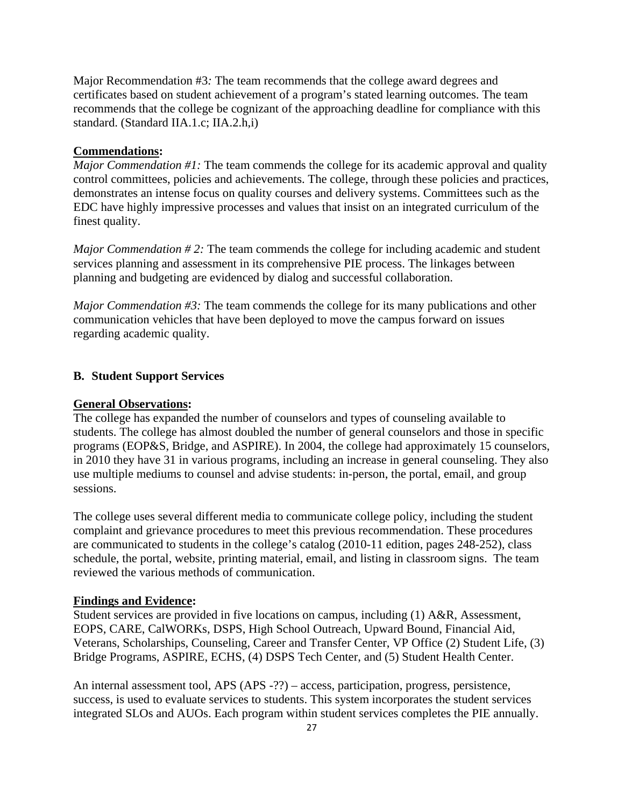Major Recommendation #3*:* The team recommends that the college award degrees and certificates based on student achievement of a program's stated learning outcomes. The team recommends that the college be cognizant of the approaching deadline for compliance with this standard. (Standard IIA.1.c; IIA.2.h,i)

### **Commendations:**

*Major Commendation #1:* The team commends the college for its academic approval and quality control committees, policies and achievements. The college, through these policies and practices, demonstrates an intense focus on quality courses and delivery systems. Committees such as the EDC have highly impressive processes and values that insist on an integrated curriculum of the finest quality.

*Major Commendation # 2:* The team commends the college for including academic and student services planning and assessment in its comprehensive PIE process. The linkages between planning and budgeting are evidenced by dialog and successful collaboration.

*Major Commendation #3:* The team commends the college for its many publications and other communication vehicles that have been deployed to move the campus forward on issues regarding academic quality.

### **B. Student Support Services**

#### **General Observations:**

The college has expanded the number of counselors and types of counseling available to students. The college has almost doubled the number of general counselors and those in specific programs (EOP&S, Bridge, and ASPIRE). In 2004, the college had approximately 15 counselors, in 2010 they have 31 in various programs, including an increase in general counseling. They also use multiple mediums to counsel and advise students: in-person, the portal, email, and group sessions.

The college uses several different media to communicate college policy, including the student complaint and grievance procedures to meet this previous recommendation. These procedures are communicated to students in the college's catalog (2010-11 edition, pages 248-252), class schedule, the portal, website, printing material, email, and listing in classroom signs. The team reviewed the various methods of communication.

#### **Findings and Evidence:**

Student services are provided in five locations on campus, including (1) A&R, Assessment, EOPS, CARE, CalWORKs, DSPS, High School Outreach, Upward Bound, Financial Aid, Veterans, Scholarships, Counseling, Career and Transfer Center, VP Office (2) Student Life, (3) Bridge Programs, ASPIRE, ECHS, (4) DSPS Tech Center, and (5) Student Health Center.

An internal assessment tool, APS (APS -??) – access, participation, progress, persistence, success, is used to evaluate services to students. This system incorporates the student services integrated SLOs and AUOs. Each program within student services completes the PIE annually.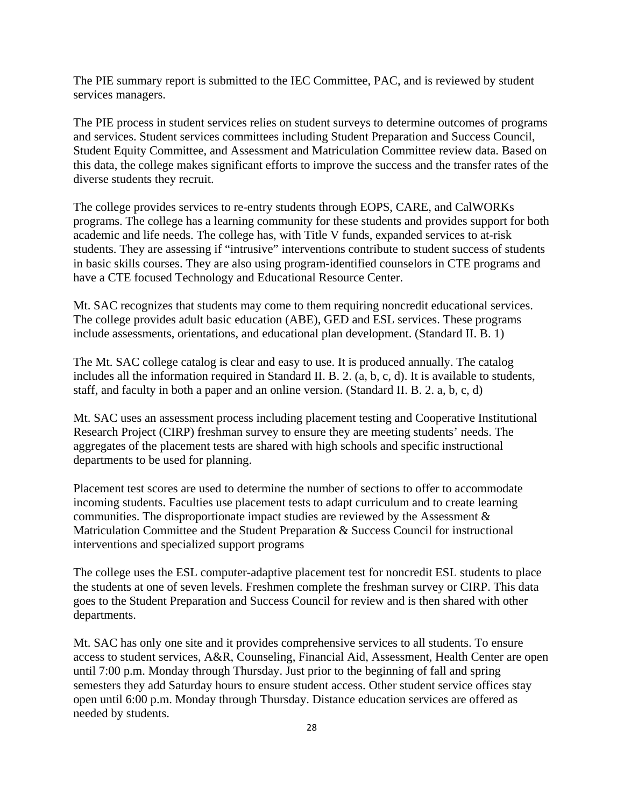The PIE summary report is submitted to the IEC Committee, PAC, and is reviewed by student services managers.

The PIE process in student services relies on student surveys to determine outcomes of programs and services. Student services committees including Student Preparation and Success Council, Student Equity Committee, and Assessment and Matriculation Committee review data. Based on this data, the college makes significant efforts to improve the success and the transfer rates of the diverse students they recruit.

The college provides services to re-entry students through EOPS, CARE, and CalWORKs programs. The college has a learning community for these students and provides support for both academic and life needs. The college has, with Title V funds, expanded services to at-risk students. They are assessing if "intrusive" interventions contribute to student success of students in basic skills courses. They are also using program-identified counselors in CTE programs and have a CTE focused Technology and Educational Resource Center.

Mt. SAC recognizes that students may come to them requiring noncredit educational services. The college provides adult basic education (ABE), GED and ESL services. These programs include assessments, orientations, and educational plan development. (Standard II. B. 1)

The Mt. SAC college catalog is clear and easy to use. It is produced annually. The catalog includes all the information required in Standard II. B. 2. (a, b, c, d). It is available to students, staff, and faculty in both a paper and an online version. (Standard II. B. 2. a, b, c, d)

Mt. SAC uses an assessment process including placement testing and Cooperative Institutional Research Project (CIRP) freshman survey to ensure they are meeting students' needs. The aggregates of the placement tests are shared with high schools and specific instructional departments to be used for planning.

Placement test scores are used to determine the number of sections to offer to accommodate incoming students. Faculties use placement tests to adapt curriculum and to create learning communities. The disproportionate impact studies are reviewed by the Assessment & Matriculation Committee and the Student Preparation & Success Council for instructional interventions and specialized support programs

The college uses the ESL computer-adaptive placement test for noncredit ESL students to place the students at one of seven levels. Freshmen complete the freshman survey or CIRP. This data goes to the Student Preparation and Success Council for review and is then shared with other departments.

Mt. SAC has only one site and it provides comprehensive services to all students. To ensure access to student services, A&R, Counseling, Financial Aid, Assessment, Health Center are open until 7:00 p.m. Monday through Thursday. Just prior to the beginning of fall and spring semesters they add Saturday hours to ensure student access. Other student service offices stay open until 6:00 p.m. Monday through Thursday. Distance education services are offered as needed by students.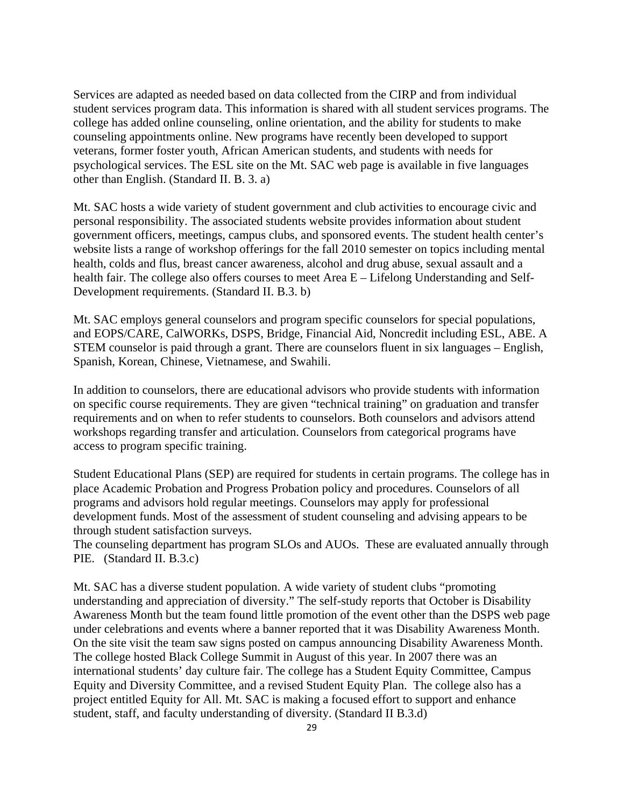Services are adapted as needed based on data collected from the CIRP and from individual student services program data. This information is shared with all student services programs. The college has added online counseling, online orientation, and the ability for students to make counseling appointments online. New programs have recently been developed to support veterans, former foster youth, African American students, and students with needs for psychological services. The ESL site on the Mt. SAC web page is available in five languages other than English. (Standard II. B. 3. a)

Mt. SAC hosts a wide variety of student government and club activities to encourage civic and personal responsibility. The associated students website provides information about student government officers, meetings, campus clubs, and sponsored events. The student health center's website lists a range of workshop offerings for the fall 2010 semester on topics including mental health, colds and flus, breast cancer awareness, alcohol and drug abuse, sexual assault and a health fair. The college also offers courses to meet Area E – Lifelong Understanding and Self-Development requirements. (Standard II. B.3. b)

Mt. SAC employs general counselors and program specific counselors for special populations, and EOPS/CARE, CalWORKs, DSPS, Bridge, Financial Aid, Noncredit including ESL, ABE. A STEM counselor is paid through a grant. There are counselors fluent in six languages – English, Spanish, Korean, Chinese, Vietnamese, and Swahili.

In addition to counselors, there are educational advisors who provide students with information on specific course requirements. They are given "technical training" on graduation and transfer requirements and on when to refer students to counselors. Both counselors and advisors attend workshops regarding transfer and articulation. Counselors from categorical programs have access to program specific training.

Student Educational Plans (SEP) are required for students in certain programs. The college has in place Academic Probation and Progress Probation policy and procedures. Counselors of all programs and advisors hold regular meetings. Counselors may apply for professional development funds. Most of the assessment of student counseling and advising appears to be through student satisfaction surveys.

The counseling department has program SLOs and AUOs. These are evaluated annually through PIE. (Standard II. B.3.c)

Mt. SAC has a diverse student population. A wide variety of student clubs "promoting understanding and appreciation of diversity." The self-study reports that October is Disability Awareness Month but the team found little promotion of the event other than the DSPS web page under celebrations and events where a banner reported that it was Disability Awareness Month. On the site visit the team saw signs posted on campus announcing Disability Awareness Month. The college hosted Black College Summit in August of this year. In 2007 there was an international students' day culture fair. The college has a Student Equity Committee, Campus Equity and Diversity Committee, and a revised Student Equity Plan. The college also has a project entitled Equity for All. Mt. SAC is making a focused effort to support and enhance student, staff, and faculty understanding of diversity. (Standard II B.3.d)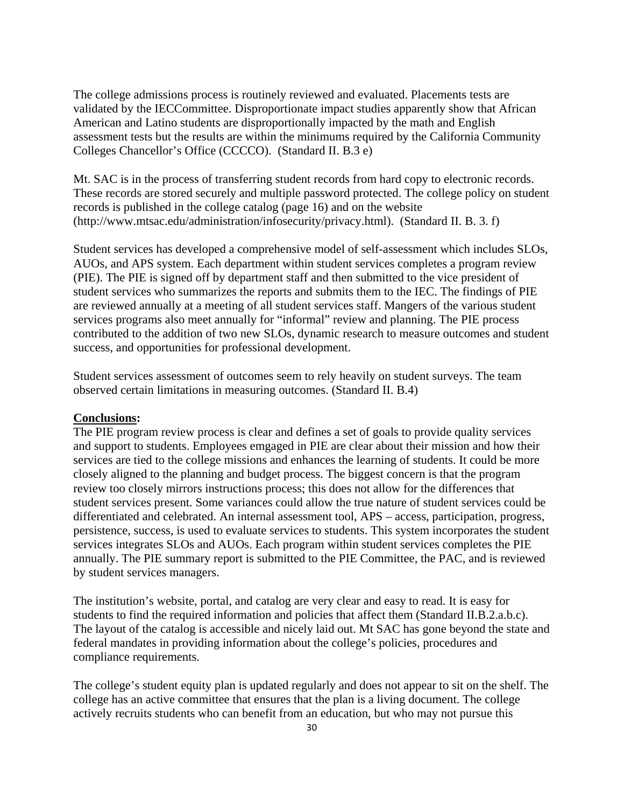The college admissions process is routinely reviewed and evaluated. Placements tests are validated by the IECCommittee. Disproportionate impact studies apparently show that African American and Latino students are disproportionally impacted by the math and English assessment tests but the results are within the minimums required by the California Community Colleges Chancellor's Office (CCCCO). (Standard II. B.3 e)

Mt. SAC is in the process of transferring student records from hard copy to electronic records. These records are stored securely and multiple password protected. The college policy on student records is published in the college catalog (page 16) and on the website (http://www.mtsac.edu/administration/infosecurity/privacy.html). (Standard II. B. 3. f)

Student services has developed a comprehensive model of self-assessment which includes SLOs, AUOs, and APS system. Each department within student services completes a program review (PIE). The PIE is signed off by department staff and then submitted to the vice president of student services who summarizes the reports and submits them to the IEC. The findings of PIE are reviewed annually at a meeting of all student services staff. Mangers of the various student services programs also meet annually for "informal" review and planning. The PIE process contributed to the addition of two new SLOs, dynamic research to measure outcomes and student success, and opportunities for professional development.

Student services assessment of outcomes seem to rely heavily on student surveys. The team observed certain limitations in measuring outcomes. (Standard II. B.4)

#### **Conclusions:**

The PIE program review process is clear and defines a set of goals to provide quality services and support to students. Employees emgaged in PIE are clear about their mission and how their services are tied to the college missions and enhances the learning of students. It could be more closely aligned to the planning and budget process. The biggest concern is that the program review too closely mirrors instructions process; this does not allow for the differences that student services present. Some variances could allow the true nature of student services could be differentiated and celebrated. An internal assessment tool, APS – access, participation, progress, persistence, success, is used to evaluate services to students. This system incorporates the student services integrates SLOs and AUOs. Each program within student services completes the PIE annually. The PIE summary report is submitted to the PIE Committee, the PAC, and is reviewed by student services managers.

The institution's website, portal, and catalog are very clear and easy to read. It is easy for students to find the required information and policies that affect them (Standard II.B.2.a.b.c). The layout of the catalog is accessible and nicely laid out. Mt SAC has gone beyond the state and federal mandates in providing information about the college's policies, procedures and compliance requirements.

The college's student equity plan is updated regularly and does not appear to sit on the shelf. The college has an active committee that ensures that the plan is a living document. The college actively recruits students who can benefit from an education, but who may not pursue this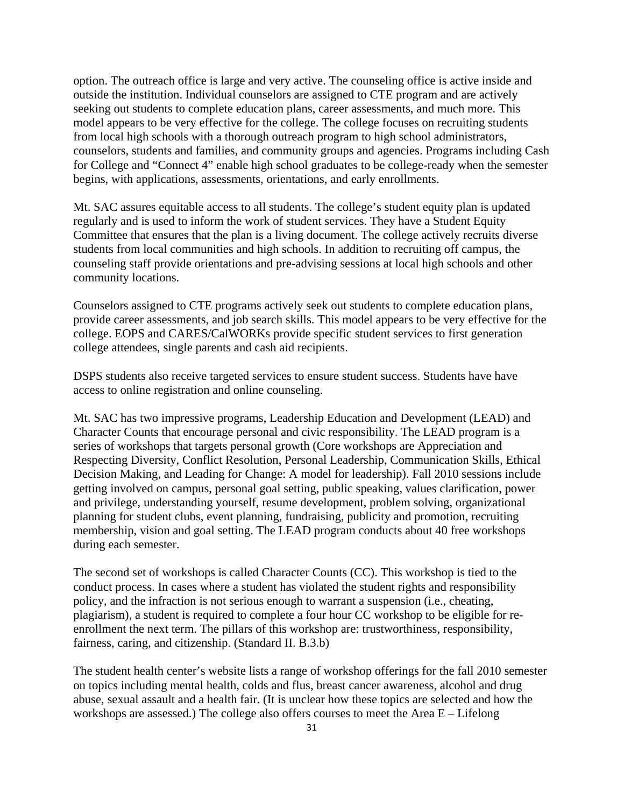option. The outreach office is large and very active. The counseling office is active inside and outside the institution. Individual counselors are assigned to CTE program and are actively seeking out students to complete education plans, career assessments, and much more. This model appears to be very effective for the college. The college focuses on recruiting students from local high schools with a thorough outreach program to high school administrators, counselors, students and families, and community groups and agencies. Programs including Cash for College and "Connect 4" enable high school graduates to be college-ready when the semester begins, with applications, assessments, orientations, and early enrollments.

Mt. SAC assures equitable access to all students. The college's student equity plan is updated regularly and is used to inform the work of student services. They have a Student Equity Committee that ensures that the plan is a living document. The college actively recruits diverse students from local communities and high schools. In addition to recruiting off campus, the counseling staff provide orientations and pre-advising sessions at local high schools and other community locations.

Counselors assigned to CTE programs actively seek out students to complete education plans, provide career assessments, and job search skills. This model appears to be very effective for the college. EOPS and CARES/CalWORKs provide specific student services to first generation college attendees, single parents and cash aid recipients.

access to online registration and online counseling. DSPS students also receive targeted services to ensure student success. Students have have

Mt. SAC has two impressive programs, Leadership Education and Development (LEAD) and Character Counts that encourage personal and civic responsibility. The LEAD program is a series of workshops that targets personal growth (Core workshops are Appreciation and Respecting Diversity, Conflict Resolution, Personal Leadership, Communication Skills, Ethical Decision Making, and Leading for Change: A model for leadership). Fall 2010 sessions include getting involved on campus, personal goal setting, public speaking, values clarification, power and privilege, understanding yourself, resume development, problem solving, organizational planning for student clubs, event planning, fundraising, publicity and promotion, recruiting membership, vision and goal setting. The LEAD program conducts about 40 free workshops during each semester.

The second set of workshops is called Character Counts (CC). This workshop is tied to the conduct process. In cases where a student has violated the student rights and responsibility policy, and the infraction is not serious enough to warrant a suspension (i.e., cheating, plagiarism), a student is required to complete a four hour CC workshop to be eligible for reenrollment the next term. The pillars of this workshop are: trustworthiness, responsibility, fairness, caring, and citizenship. (Standard II. B.3.b)

The student health center's website lists a range of workshop offerings for the fall 2010 semester on topics including mental health, colds and flus, breast cancer awareness, alcohol and drug abuse, sexual assault and a health fair. (It is unclear how these topics are selected and how the workshops are assessed.) The college also offers courses to meet the Area E – Lifelong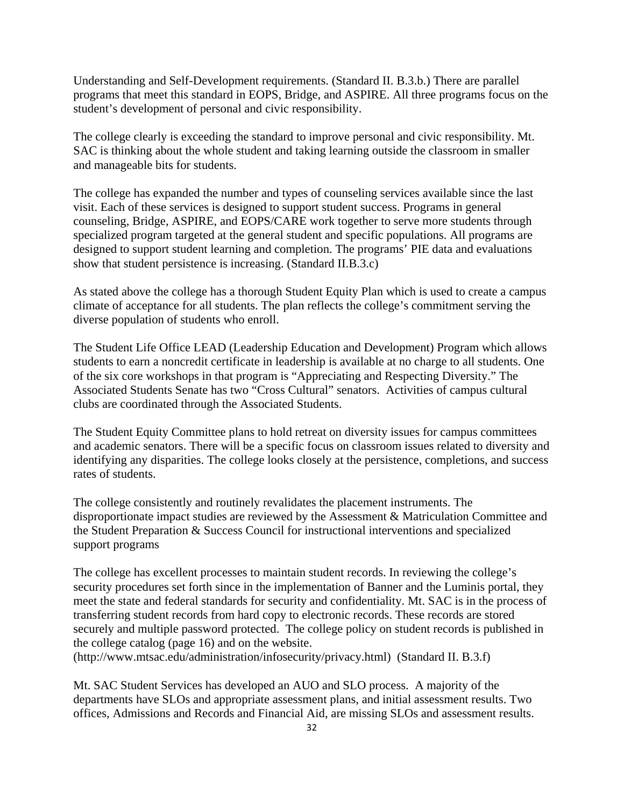Understanding and Self-Development requirements. (Standard II. B.3.b.) There are parallel programs that meet this standard in EOPS, Bridge, and ASPIRE. All three programs focus on the student's development of personal and civic responsibility.

The college clearly is exceeding the standard to improve personal and civic responsibility. Mt. SAC is thinking about the whole student and taking learning outside the classroom in smaller and manageable bits for students.

The college has expanded the number and types of counseling services available since the last visit. Each of these services is designed to support student success. Programs in general counseling, Bridge, ASPIRE, and EOPS/CARE work together to serve more students through specialized program targeted at the general student and specific populations. All programs are designed to support student learning and completion. The programs' PIE data and evaluations show that student persistence is increasing. (Standard II.B.3.c)

As stated above the college has a thorough Student Equity Plan which is used to create a campus climate of acceptance for all students. The plan reflects the college's commitment serving the diverse population of students who enroll.

The Student Life Office LEAD (Leadership Education and Development) Program which allows students to earn a noncredit certificate in leadership is available at no charge to all students. One of the six core workshops in that program is "Appreciating and Respecting Diversity." The Associated Students Senate has two "Cross Cultural" senators. Activities of campus cultural clubs are coordinated through the Associated Students.

The Student Equity Committee plans to hold retreat on diversity issues for campus committees and academic senators. There will be a specific focus on classroom issues related to diversity and identifying any disparities. The college looks closely at the persistence, completions, and success rates of students.

The college consistently and routinely revalidates the placement instruments. The disproportionate impact studies are reviewed by the Assessment & Matriculation Committee and the Student Preparation & Success Council for instructional interventions and specialized support programs

The college has excellent processes to maintain student records. In reviewing the college's security procedures set forth since in the implementation of Banner and the Luminis portal, they meet the state and federal standards for security and confidentiality. Mt. SAC is in the process of transferring student records from hard copy to electronic records. These records are stored securely and multiple password protected. The college policy on student records is published in the college catalog (page 16) and on the website.

(http://www.mtsac.edu/administration/infosecurity/privacy.html) (Standard II. B.3.f)

Mt. SAC Student Services has developed an AUO and SLO process. A majority of the departments have SLOs and appropriate assessment plans, and initial assessment results. Two offices, Admissions and Records and Financial Aid, are missing SLOs and assessment results.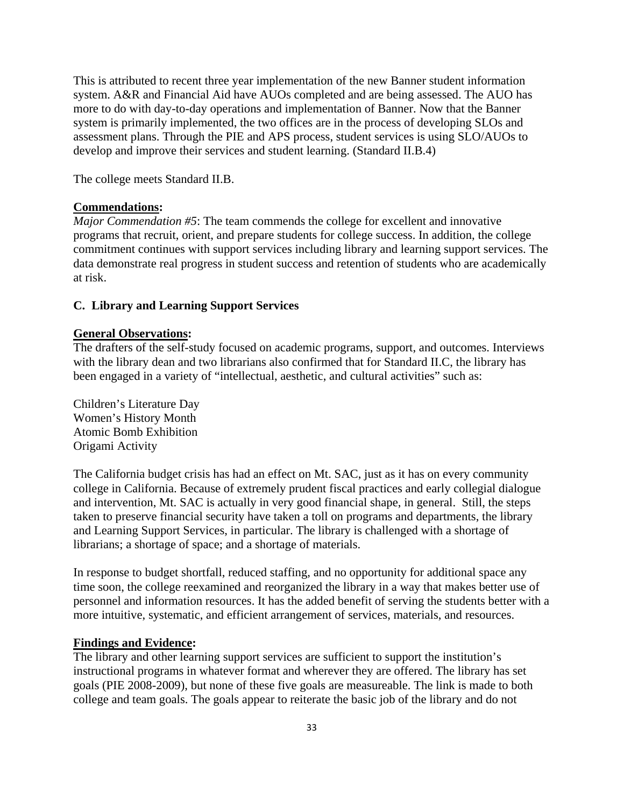This is attributed to recent three year implementation of the new Banner student information system. A&R and Financial Aid have AUOs completed and are being assessed. The AUO has more to do with day-to-day operations and implementation of Banner. Now that the Banner system is primarily implemented, the two offices are in the process of developing SLOs and assessment plans. Through the PIE and APS process, student services is using SLO/AUOs to develop and improve their services and student learning. (Standard II.B.4)

The college meets Standard II.B.

# **Commendations:**

*Major Commendation #5*: The team commends the college for excellent and innovative programs that recruit, orient, and prepare students for college success. In addition, the college commitment continues with support services including library and learning support services. The data demonstrate real progress in student success and retention of students who are academically at risk.

#### **C. Library and Learning Support Services**

#### **General Observations:**

The drafters of the self-study focused on academic programs, support, and outcomes. Interviews with the library dean and two librarians also confirmed that for Standard II.C, the library has been engaged in a variety of "intellectual, aesthetic, and cultural activities" such as:

Children's Literature Day Women's History Month Atomic Bomb Exhibition Origami Activity

The California budget crisis has had an effect on Mt. SAC, just as it has on every community college in California. Because of extremely prudent fiscal practices and early collegial dialogue and intervention, Mt. SAC is actually in very good financial shape, in general. Still, the steps taken to preserve financial security have taken a toll on programs and departments, the library and Learning Support Services, in particular. The library is challenged with a shortage of librarians; a shortage of space; and a shortage of materials.

In response to budget shortfall, reduced staffing, and no opportunity for additional space any time soon, the college reexamined and reorganized the library in a way that makes better use of personnel and information resources. It has the added benefit of serving the students better with a more intuitive, systematic, and efficient arrangement of services, materials, and resources.

#### **Findings and Evidence:**

The library and other learning support services are sufficient to support the institution's instructional programs in whatever format and wherever they are offered. The library has set goals (PIE 2008-2009), but none of these five goals are measureable. The link is made to both college and team goals. The goals appear to reiterate the basic job of the library and do not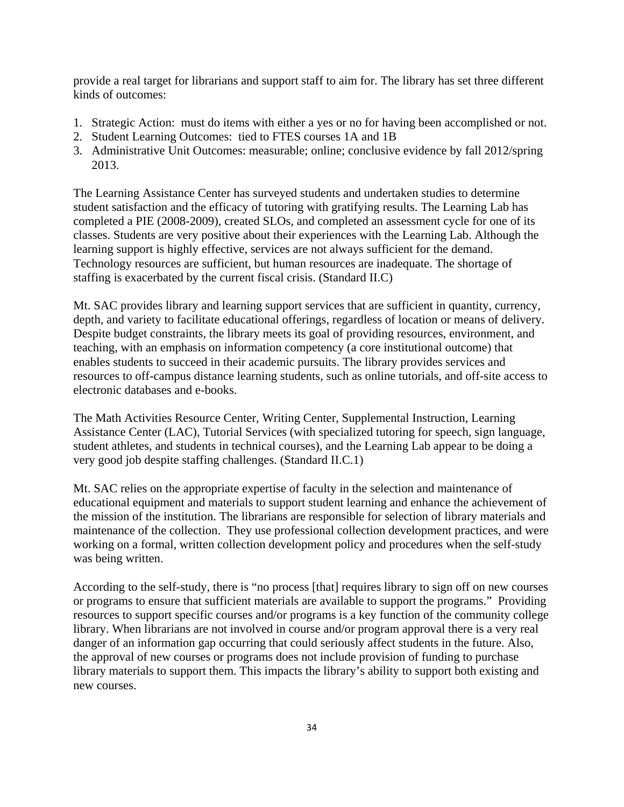provide a real target for librarians and support staff to aim for. The library has set three different kinds of outcomes:

- 1. Strategic Action: must do items with either a yes or no for having been accomplished or not.
- 2. Student Learning Outcomes: tied to FTES courses 1A and 1B
- 3. Administrative Unit Outcomes: measurable; online; conclusive evidence by fall 2012/spring 2013.

The Learning Assistance Center has surveyed students and undertaken studies to determine student satisfaction and the efficacy of tutoring with gratifying results. The Learning Lab has completed a PIE (2008-2009), created SLOs, and completed an assessment cycle for one of its classes. Students are very positive about their experiences with the Learning Lab. Although the learning support is highly effective, services are not always sufficient for the demand. Technology resources are sufficient, but human resources are inadequate. The shortage of staffing is exacerbated by the current fiscal crisis. (Standard II.C)

Mt. SAC provides library and learning support services that are sufficient in quantity, currency, depth, and variety to facilitate educational offerings, regardless of location or means of delivery. Despite budget constraints, the library meets its goal of providing resources, environment, and teaching, with an emphasis on information competency (a core institutional outcome) that enables students to succeed in their academic pursuits. The library provides services and resources to off-campus distance learning students, such as online tutorials, and off-site access to electronic databases and e-books.

The Math Activities Resource Center, Writing Center, Supplemental Instruction, Learning Assistance Center (LAC), Tutorial Services (with specialized tutoring for speech, sign language, student athletes, and students in technical courses), and the Learning Lab appear to be doing a very good job despite staffing challenges. (Standard II.C.1)

Mt. SAC relies on the appropriate expertise of faculty in the selection and maintenance of educational equipment and materials to support student learning and enhance the achievement of the mission of the institution. The librarians are responsible for selection of library materials and maintenance of the collection. They use professional collection development practices, and were working on a formal, written collection development policy and procedures when the self-study was being written.

According to the self-study, there is "no process [that] requires library to sign off on new courses or programs to ensure that sufficient materials are available to support the programs." Providing resources to support specific courses and/or programs is a key function of the community college library. When librarians are not involved in course and/or program approval there is a very real danger of an information gap occurring that could seriously affect students in the future. Also, the approval of new courses or programs does not include provision of funding to purchase library materials to support them. This impacts the library's ability to support both existing and new courses.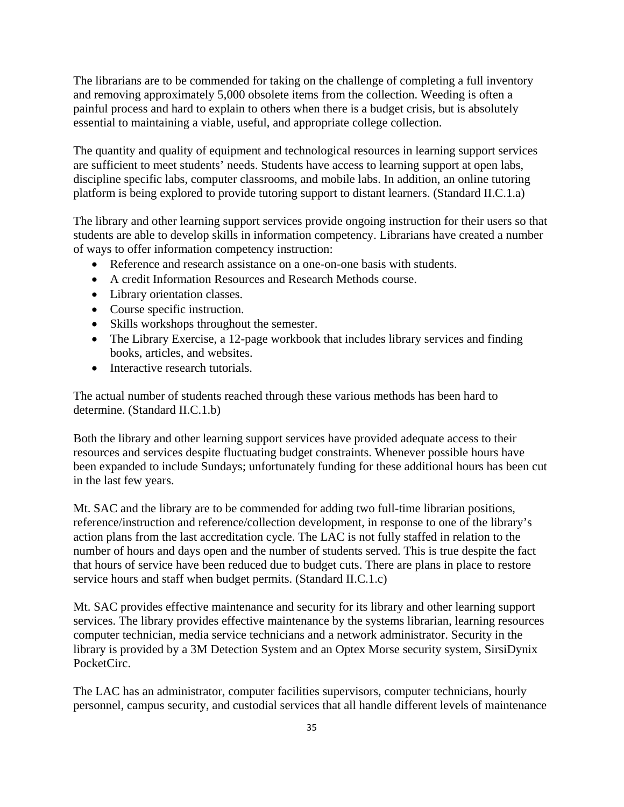The librarians are to be commended for taking on the challenge of completing a full inventory and removing approximately 5,000 obsolete items from the collection. Weeding is often a painful process and hard to explain to others when there is a budget crisis, but is absolutely essential to maintaining a viable, useful, and appropriate college collection.

The quantity and quality of equipment and technological resources in learning support services are sufficient to meet students' needs. Students have access to learning support at open labs, discipline specific labs, computer classrooms, and mobile labs. In addition, an online tutoring platform is being explored to provide tutoring support to distant learners. (Standard II.C.1.a)

The library and other learning support services provide ongoing instruction for their users so that students are able to develop skills in information competency. Librarians have created a number of ways to offer information competency instruction:

- Reference and research assistance on a one-on-one basis with students.
- A credit Information Resources and Research Methods course.
- Library orientation classes.
- Course specific instruction.
- Skills workshops throughout the semester.
- The Library Exercise, a 12-page workbook that includes library services and finding books, articles, and websites.
- Interactive research tutorials.

The actual number of students reached through these various methods has been hard to determine. (Standard II.C.1.b)

Both the library and other learning support services have provided adequate access to their resources and services despite fluctuating budget constraints. Whenever possible hours have been expanded to include Sundays; unfortunately funding for these additional hours has been cut in the last few years.

Mt. SAC and the library are to be commended for adding two full-time librarian positions, reference/instruction and reference/collection development, in response to one of the library's action plans from the last accreditation cycle. The LAC is not fully staffed in relation to the number of hours and days open and the number of students served. This is true despite the fact that hours of service have been reduced due to budget cuts. There are plans in place to restore service hours and staff when budget permits. (Standard II.C.1.c)

Mt. SAC provides effective maintenance and security for its library and other learning support services. The library provides effective maintenance by the systems librarian, learning resources computer technician, media service technicians and a network administrator. Security in the library is provided by a 3M Detection System and an Optex Morse security system, SirsiDynix PocketCirc.

The LAC has an administrator, computer facilities supervisors, computer technicians, hourly personnel, campus security, and custodial services that all handle different levels of maintenance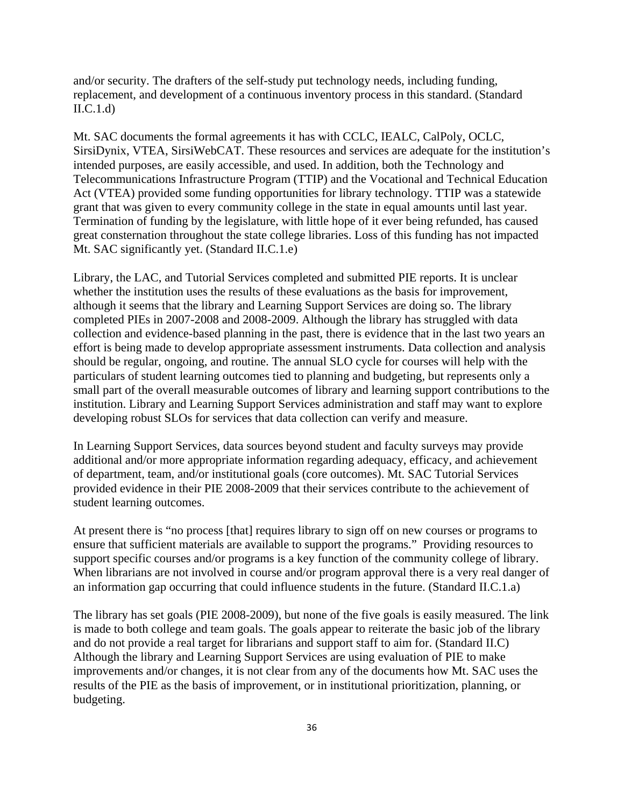and/or security. The drafters of the self-study put technology needs, including funding, replacement, and development of a continuous inventory process in this standard. (Standard  $II.C.1.d$ 

Mt. SAC documents the formal agreements it has with CCLC, IEALC, CalPoly, OCLC, SirsiDynix, VTEA, SirsiWebCAT. These resources and services are adequate for the institution's intended purposes, are easily accessible, and used. In addition, both the Technology and Telecommunications Infrastructure Program (TTIP) and the Vocational and Technical Education Act (VTEA) provided some funding opportunities for library technology. TTIP was a statewide grant that was given to every community college in the state in equal amounts until last year. Termination of funding by the legislature, with little hope of it ever being refunded, has caused great consternation throughout the state college libraries. Loss of this funding has not impacted Mt. SAC significantly yet. (Standard II.C.1.e)

Library, the LAC, and Tutorial Services completed and submitted PIE reports. It is unclear whether the institution uses the results of these evaluations as the basis for improvement, although it seems that the library and Learning Support Services are doing so. The library completed PIEs in 2007-2008 and 2008-2009. Although the library has struggled with data collection and evidence-based planning in the past, there is evidence that in the last two years an effort is being made to develop appropriate assessment instruments. Data collection and analysis should be regular, ongoing, and routine. The annual SLO cycle for courses will help with the particulars of student learning outcomes tied to planning and budgeting, but represents only a small part of the overall measurable outcomes of library and learning support contributions to the institution. Library and Learning Support Services administration and staff may want to explore developing robust SLOs for services that data collection can verify and measure.

In Learning Support Services, data sources beyond student and faculty surveys may provide additional and/or more appropriate information regarding adequacy, efficacy, and achievement of department, team, and/or institutional goals (core outcomes). Mt. SAC Tutorial Services provided evidence in their PIE 2008-2009 that their services contribute to the achievement of student learning outcomes.

At present there is "no process [that] requires library to sign off on new courses or programs to ensure that sufficient materials are available to support the programs." Providing resources to support specific courses and/or programs is a key function of the community college of library. When librarians are not involved in course and/or program approval there is a very real danger of an information gap occurring that could influence students in the future. (Standard II.C.1.a)

The library has set goals (PIE 2008-2009), but none of the five goals is easily measured. The link is made to both college and team goals. The goals appear to reiterate the basic job of the library and do not provide a real target for librarians and support staff to aim for. (Standard II.C) Although the library and Learning Support Services are using evaluation of PIE to make improvements and/or changes, it is not clear from any of the documents how Mt. SAC uses the results of the PIE as the basis of improvement, or in institutional prioritization, planning, or budgeting.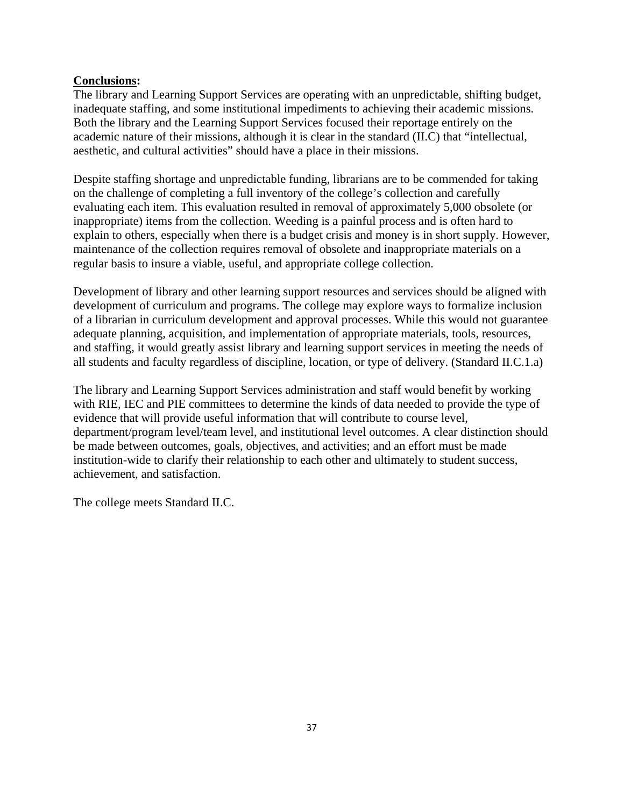## **Conclusions:**

The library and Learning Support Services are operating with an unpredictable, shifting budget, inadequate staffing, and some institutional impediments to achieving their academic missions. Both the library and the Learning Support Services focused their reportage entirely on the academic nature of their missions, although it is clear in the standard (II.C) that "intellectual, aesthetic, and cultural activities" should have a place in their missions.

Despite staffing shortage and unpredictable funding, librarians are to be commended for taking on the challenge of completing a full inventory of the college's collection and carefully evaluating each item. This evaluation resulted in removal of approximately 5,000 obsolete (or inappropriate) items from the collection. Weeding is a painful process and is often hard to explain to others, especially when there is a budget crisis and money is in short supply. However, maintenance of the collection requires removal of obsolete and inappropriate materials on a regular basis to insure a viable, useful, and appropriate college collection.

Development of library and other learning support resources and services should be aligned with development of curriculum and programs. The college may explore ways to formalize inclusion of a librarian in curriculum development and approval processes. While this would not guarantee adequate planning, acquisition, and implementation of appropriate materials, tools, resources, and staffing, it would greatly assist library and learning support services in meeting the needs of all students and faculty regardless of discipline, location, or type of delivery. (Standard II.C.1.a)

The library and Learning Support Services administration and staff would benefit by working with RIE, IEC and PIE committees to determine the kinds of data needed to provide the type of evidence that will provide useful information that will contribute to course level, department/program level/team level, and institutional level outcomes. A clear distinction should be made between outcomes, goals, objectives, and activities; and an effort must be made institution-wide to clarify their relationship to each other and ultimately to student success, achievement, and satisfaction.

The college meets Standard II.C.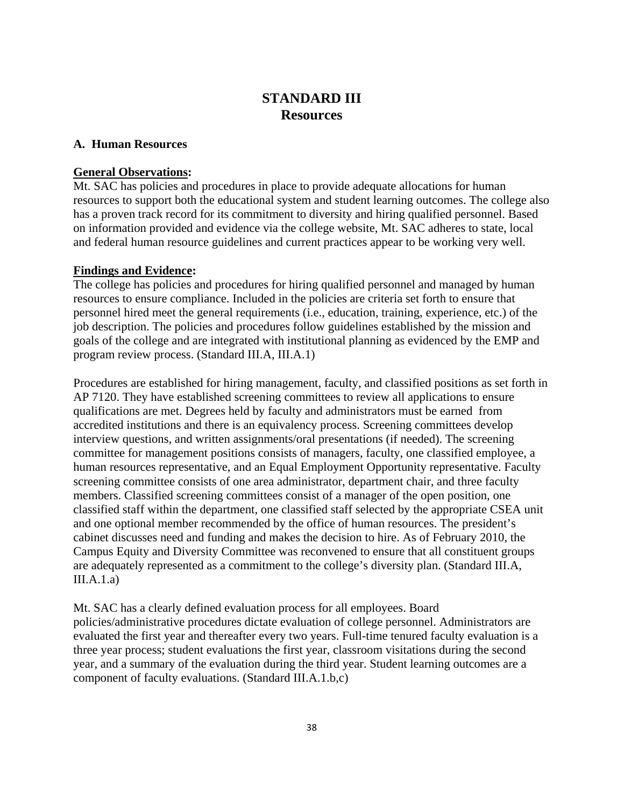# **STANDARD III Resources**

### **A. Human Resources**

## **General Observations:**

Mt. SAC has policies and procedures in place to provide adequate allocations for human resources to support both the educational system and student learning outcomes. The college also has a proven track record for its commitment to diversity and hiring qualified personnel. Based on information provided and evidence via the college website, Mt. SAC adheres to state, local and federal human resource guidelines and current practices appear to be working very well.

## **Findings and Evidence:**

The college has policies and procedures for hiring qualified personnel and managed by human resources to ensure compliance. Included in the policies are criteria set forth to ensure that personnel hired meet the general requirements (i.e., education, training, experience, etc.) of the job description. The policies and procedures follow guidelines established by the mission and goals of the college and are integrated with institutional planning as evidenced by the EMP and program review process. (Standard III.A, III.A.1)

Procedures are established for hiring management, faculty, and classified positions as set forth in AP 7120. They have established screening committees to review all applications to ensure qualifications are met. Degrees held by faculty and administrators must be earned from accredited institutions and there is an equivalency process. Screening committees develop interview questions, and written assignments/oral presentations (if needed). The screening committee for management positions consists of managers, faculty, one classified employee, a human resources representative, and an Equal Employment Opportunity representative. Faculty screening committee consists of one area administrator, department chair, and three faculty members. Classified screening committees consist of a manager of the open position, one classified staff within the department, one classified staff selected by the appropriate CSEA unit and one optional member recommended by the office of human resources. The president's cabinet discusses need and funding and makes the decision to hire. As of February 2010, the Campus Equity and Diversity Committee was reconvened to ensure that all constituent groups are adequately represented as a commitment to the college's diversity plan. (Standard III.A,  $III.A.1.a)$ 

Mt. SAC has a clearly defined evaluation process for all employees. Board policies/administrative procedures dictate evaluation of college personnel. Administrators are evaluated the first year and thereafter every two years. Full-time tenured faculty evaluation is a three year process; student evaluations the first year, classroom visitations during the second year, and a summary of the evaluation during the third year. Student learning outcomes are a component of faculty evaluations. (Standard III.A.1.b,c)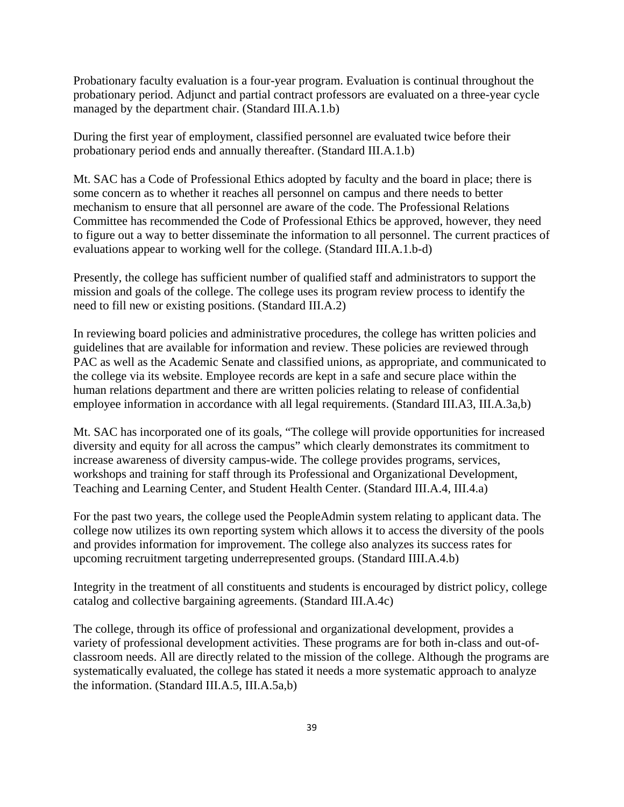Probationary faculty evaluation is a four-year program. Evaluation is continual throughout the probationary period. Adjunct and partial contract professors are evaluated on a three-year cycle managed by the department chair. (Standard III.A.1.b)

During the first year of employment, classified personnel are evaluated twice before their probationary period ends and annually thereafter. (Standard III.A.1.b)

Mt. SAC has a Code of Professional Ethics adopted by faculty and the board in place; there is some concern as to whether it reaches all personnel on campus and there needs to better mechanism to ensure that all personnel are aware of the code. The Professional Relations Committee has recommended the Code of Professional Ethics be approved, however, they need to figure out a way to better disseminate the information to all personnel. The current practices of evaluations appear to working well for the college. (Standard III.A.1.b-d)

Presently, the college has sufficient number of qualified staff and administrators to support the mission and goals of the college. The college uses its program review process to identify the need to fill new or existing positions. (Standard III.A.2)

In reviewing board policies and administrative procedures, the college has written policies and guidelines that are available for information and review. These policies are reviewed through PAC as well as the Academic Senate and classified unions, as appropriate, and communicated to the college via its website. Employee records are kept in a safe and secure place within the human relations department and there are written policies relating to release of confidential employee information in accordance with all legal requirements. (Standard III.A3, III.A.3a,b)

Mt. SAC has incorporated one of its goals, "The college will provide opportunities for increased diversity and equity for all across the campus" which clearly demonstrates its commitment to increase awareness of diversity campus-wide. The college provides programs, services, workshops and training for staff through its Professional and Organizational Development, Teaching and Learning Center, and Student Health Center. (Standard III.A.4, III.4.a)

For the past two years, the college used the PeopleAdmin system relating to applicant data. The college now utilizes its own reporting system which allows it to access the diversity of the pools and provides information for improvement. The college also analyzes its success rates for upcoming recruitment targeting underrepresented groups. (Standard IIII.A.4.b)

Integrity in the treatment of all constituents and students is encouraged by district policy, college catalog and collective bargaining agreements. (Standard III.A.4c)

The college, through its office of professional and organizational development, provides a variety of professional development activities. These programs are for both in-class and out-ofclassroom needs. All are directly related to the mission of the college. Although the programs are systematically evaluated, the college has stated it needs a more systematic approach to analyze the information. (Standard III.A.5, III.A.5a,b)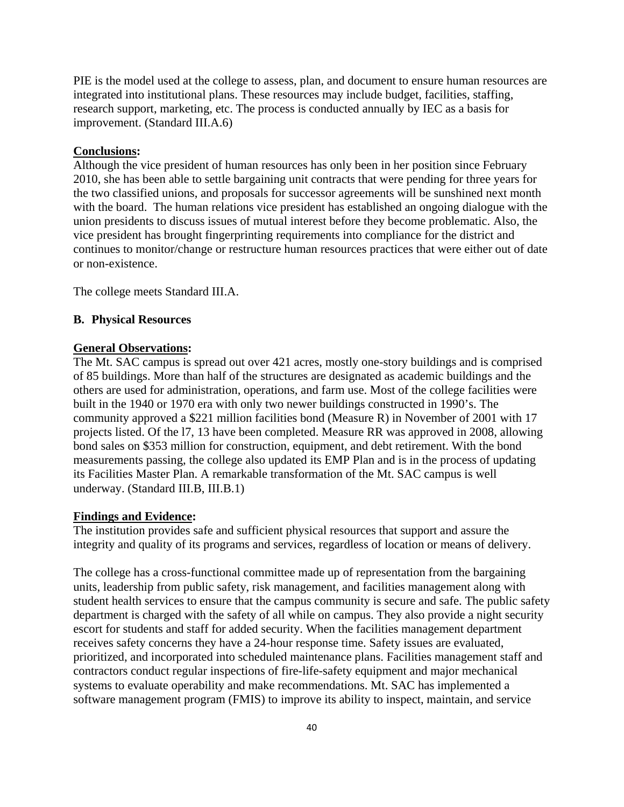PIE is the model used at the college to assess, plan, and document to ensure human resources are integrated into institutional plans. These resources may include budget, facilities, staffing, research support, marketing, etc. The process is conducted annually by IEC as a basis for improvement. (Standard III.A.6)

#### **Conclusions:**

Although the vice president of human resources has only been in her position since February 2010, she has been able to settle bargaining unit contracts that were pending for three years for the two classified unions, and proposals for successor agreements will be sunshined next month with the board. The human relations vice president has established an ongoing dialogue with the union presidents to discuss issues of mutual interest before they become problematic. Also, the vice president has brought fingerprinting requirements into compliance for the district and continues to monitor/change or restructure human resources practices that were either out of date or non-existence.

The college meets Standard III.A.

#### **B. Physical Resources**

#### **General Observations:**

The Mt. SAC campus is spread out over 421 acres, mostly one-story buildings and is comprised of 85 buildings. More than half of the structures are designated as academic buildings and the others are used for administration, operations, and farm use. Most of the college facilities were built in the 1940 or 1970 era with only two newer buildings constructed in 1990's. The community approved a \$221 million facilities bond (Measure R) in November of 2001 with 17 projects listed. Of the l7, 13 have been completed. Measure RR was approved in 2008, allowing bond sales on \$353 million for construction, equipment, and debt retirement. With the bond measurements passing, the college also updated its EMP Plan and is in the process of updating its Facilities Master Plan. A remarkable transformation of the Mt. SAC campus is well underway. (Standard III.B, III.B.1)

#### **Findings and Evidence:**

The institution provides safe and sufficient physical resources that support and assure the integrity and quality of its programs and services, regardless of location or means of delivery.

The college has a cross-functional committee made up of representation from the bargaining units, leadership from public safety, risk management, and facilities management along with student health services to ensure that the campus community is secure and safe. The public safety department is charged with the safety of all while on campus. They also provide a night security escort for students and staff for added security. When the facilities management department receives safety concerns they have a 24-hour response time. Safety issues are evaluated, prioritized, and incorporated into scheduled maintenance plans. Facilities management staff and contractors conduct regular inspections of fire-life-safety equipment and major mechanical systems to evaluate operability and make recommendations. Mt. SAC has implemented a software management program (FMIS) to improve its ability to inspect, maintain, and service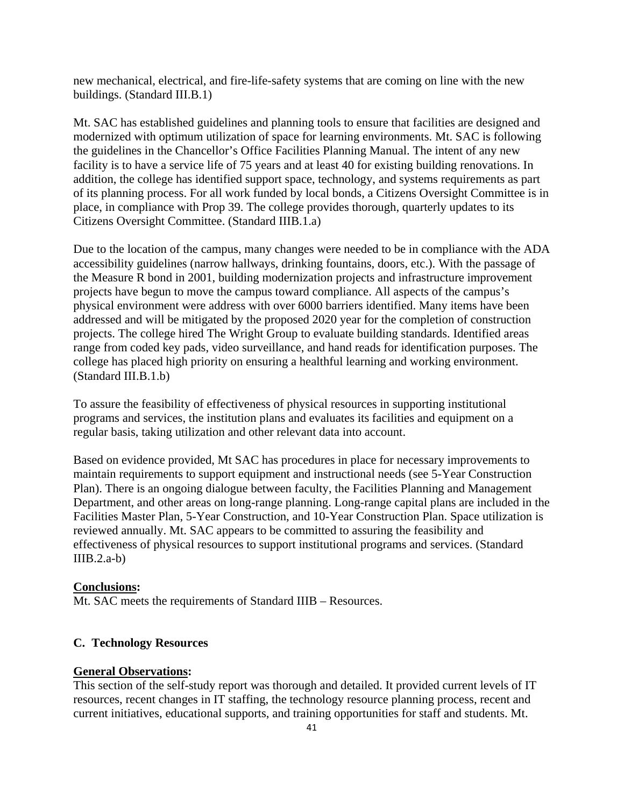new mechanical, electrical, and fire-life-safety systems that are coming on line with the new buildings. (Standard III.B.1)

Mt. SAC has established guidelines and planning tools to ensure that facilities are designed and modernized with optimum utilization of space for learning environments. Mt. SAC is following the guidelines in the Chancellor's Office Facilities Planning Manual. The intent of any new facility is to have a service life of 75 years and at least 40 for existing building renovations. In addition, the college has identified support space, technology, and systems requirements as part of its planning process. For all work funded by local bonds, a Citizens Oversight Committee is in place, in compliance with Prop 39. The college provides thorough, quarterly updates to its Citizens Oversight Committee. (Standard IIIB.1.a)

Due to the location of the campus, many changes were needed to be in compliance with the ADA accessibility guidelines (narrow hallways, drinking fountains, doors, etc.). With the passage of the Measure R bond in 2001, building modernization projects and infrastructure improvement projects have begun to move the campus toward compliance. All aspects of the campus's physical environment were address with over 6000 barriers identified. Many items have been addressed and will be mitigated by the proposed 2020 year for the completion of construction projects. The college hired The Wright Group to evaluate building standards. Identified areas range from coded key pads, video surveillance, and hand reads for identification purposes. The college has placed high priority on ensuring a healthful learning and working environment. (Standard III.B.1.b)

To assure the feasibility of effectiveness of physical resources in supporting institutional programs and services, the institution plans and evaluates its facilities and equipment on a regular basis, taking utilization and other relevant data into account.

Based on evidence provided, Mt SAC has procedures in place for necessary improvements to maintain requirements to support equipment and instructional needs (see 5-Year Construction Plan). There is an ongoing dialogue between faculty, the Facilities Planning and Management Department, and other areas on long-range planning. Long-range capital plans are included in the Facilities Master Plan, 5-Year Construction, and 10-Year Construction Plan. Space utilization is reviewed annually. Mt. SAC appears to be committed to assuring the feasibility and effectiveness of physical resources to support institutional programs and services. (Standard  $IIIB.2.a-b)$ 

## **Conclusions:**

Mt. SAC meets the requirements of Standard IIIB – Resources.

#### **C. Technology Resources**

#### **General Observations:**

This section of the self-study report was thorough and detailed. It provided current levels of IT resources, recent changes in IT staffing, the technology resource planning process, recent and current initiatives, educational supports, and training opportunities for staff and students. Mt.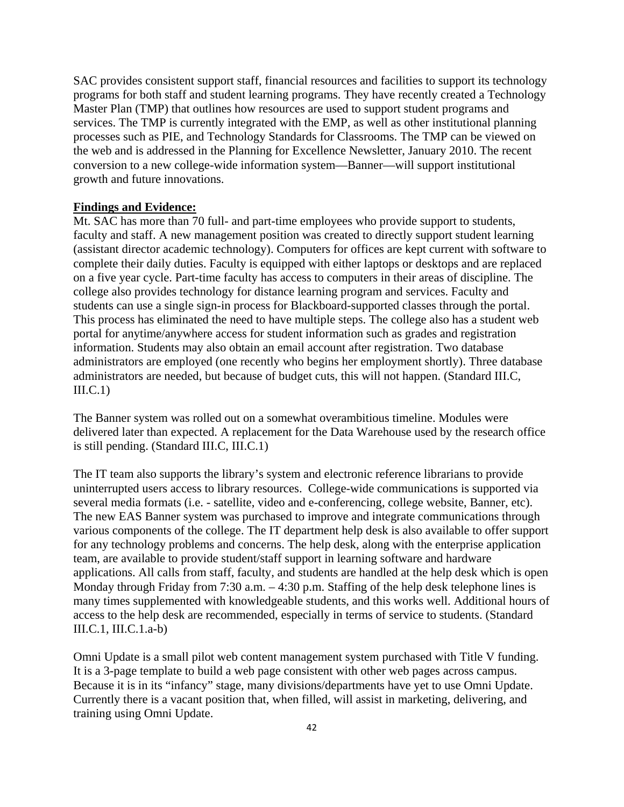SAC provides consistent support staff, financial resources and facilities to support its technology programs for both staff and student learning programs. They have recently created a Technology Master Plan (TMP) that outlines how resources are used to support student programs and services. The TMP is currently integrated with the EMP, as well as other institutional planning processes such as PIE, and Technology Standards for Classrooms. The TMP can be viewed on the web and is addressed in the Planning for Excellence Newsletter, January 2010. The recent conversion to a new college-wide information system—Banner—will support institutional growth and future innovations.

#### **Findings and Evidence:**

Mt. SAC has more than 70 full- and part-time employees who provide support to students, faculty and staff. A new management position was created to directly support student learning (assistant director academic technology). Computers for offices are kept current with software to complete their daily duties. Faculty is equipped with either laptops or desktops and are replaced on a five year cycle. Part-time faculty has access to computers in their areas of discipline. The college also provides technology for distance learning program and services. Faculty and students can use a single sign-in process for Blackboard-supported classes through the portal. This process has eliminated the need to have multiple steps. The college also has a student web portal for anytime/anywhere access for student information such as grades and registration information. Students may also obtain an email account after registration. Two database administrators are employed (one recently who begins her employment shortly). Three database administrators are needed, but because of budget cuts, this will not happen. (Standard III.C,  $III.C.1)$ 

The Banner system was rolled out on a somewhat overambitious timeline. Modules were delivered later than expected. A replacement for the Data Warehouse used by the research office is still pending. (Standard III.C, III.C.1)

The IT team also supports the library's system and electronic reference librarians to provide uninterrupted users access to library resources. College-wide communications is supported via several media formats (i.e. - satellite, video and e-conferencing, college website, Banner, etc). The new EAS Banner system was purchased to improve and integrate communications through various components of the college. The IT department help desk is also available to offer support for any technology problems and concerns. The help desk, along with the enterprise application team, are available to provide student/staff support in learning software and hardware applications. All calls from staff, faculty, and students are handled at the help desk which is open Monday through Friday from 7:30 a.m. – 4:30 p.m. Staffing of the help desk telephone lines is many times supplemented with knowledgeable students, and this works well. Additional hours of access to the help desk are recommended, especially in terms of service to students. (Standard III.C.1, III.C.1.a-b)

Omni Update is a small pilot web content management system purchased with Title V funding. It is a 3-page template to build a web page consistent with other web pages across campus. Because it is in its "infancy" stage, many divisions/departments have yet to use Omni Update. Currently there is a vacant position that, when filled, will assist in marketing, delivering, and training using Omni Update.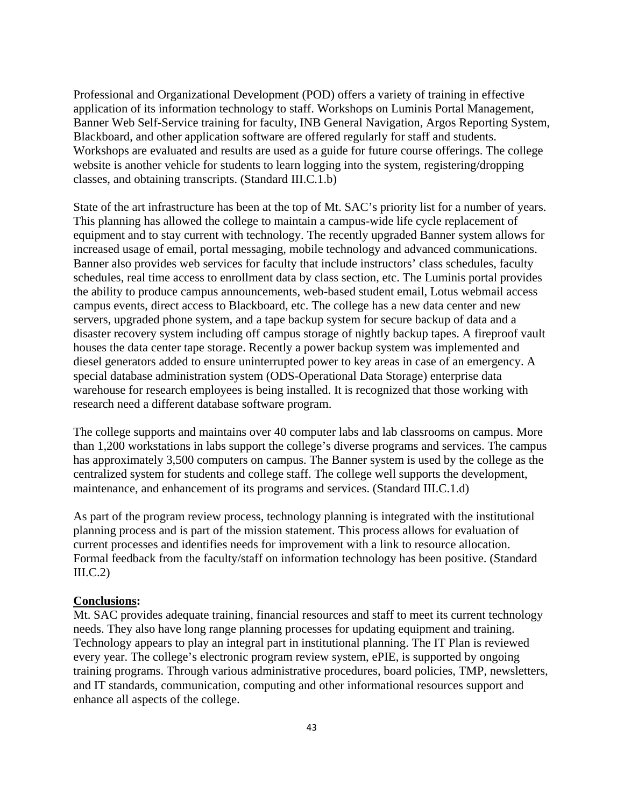Professional and Organizational Development (POD) offers a variety of training in effective application of its information technology to staff. Workshops on Luminis Portal Management, Banner Web Self-Service training for faculty, INB General Navigation, Argos Reporting System, Blackboard, and other application software are offered regularly for staff and students. Workshops are evaluated and results are used as a guide for future course offerings. The college website is another vehicle for students to learn logging into the system, registering/dropping classes, and obtaining transcripts. (Standard III.C.1.b)

State of the art infrastructure has been at the top of Mt. SAC's priority list for a number of years. This planning has allowed the college to maintain a campus-wide life cycle replacement of equipment and to stay current with technology. The recently upgraded Banner system allows for increased usage of email, portal messaging, mobile technology and advanced communications. Banner also provides web services for faculty that include instructors' class schedules, faculty schedules, real time access to enrollment data by class section, etc. The Luminis portal provides the ability to produce campus announcements, web-based student email, Lotus webmail access campus events, direct access to Blackboard, etc. The college has a new data center and new servers, upgraded phone system, and a tape backup system for secure backup of data and a disaster recovery system including off campus storage of nightly backup tapes. A fireproof vault houses the data center tape storage. Recently a power backup system was implemented and diesel generators added to ensure uninterrupted power to key areas in case of an emergency. A special database administration system (ODS-Operational Data Storage) enterprise data warehouse for research employees is being installed. It is recognized that those working with research need a different database software program.

The college supports and maintains over 40 computer labs and lab classrooms on campus. More than 1,200 workstations in labs support the college's diverse programs and services. The campus has approximately 3,500 computers on campus. The Banner system is used by the college as the centralized system for students and college staff. The college well supports the development, maintenance, and enhancement of its programs and services. (Standard III.C.1.d)

As part of the program review process, technology planning is integrated with the institutional planning process and is part of the mission statement. This process allows for evaluation of current processes and identifies needs for improvement with a link to resource allocation. Formal feedback from the faculty/staff on information technology has been positive. (Standard  $III.C.2)$ 

### **Conclusions:**

Mt. SAC provides adequate training, financial resources and staff to meet its current technology needs. They also have long range planning processes for updating equipment and training. Technology appears to play an integral part in institutional planning. The IT Plan is reviewed every year. The college's electronic program review system, ePIE, is supported by ongoing training programs. Through various administrative procedures, board policies, TMP, newsletters, and IT standards, communication, computing and other informational resources support and enhance all aspects of the college.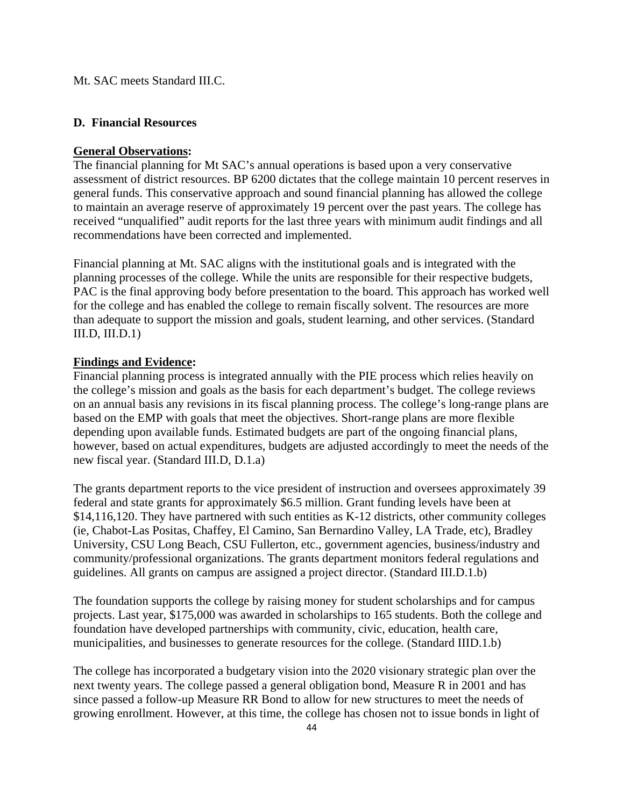#### Mt. SAC meets Standard III.C.

#### **D. Financial Resources**

#### **General Observations:**

The financial planning for Mt SAC's annual operations is based upon a very conservative assessment of district resources. BP 6200 dictates that the college maintain 10 percent reserves in general funds. This conservative approach and sound financial planning has allowed the college to maintain an average reserve of approximately 19 percent over the past years. The college has received "unqualified" audit reports for the last three years with minimum audit findings and all recommendations have been corrected and implemented.

Financial planning at Mt. SAC aligns with the institutional goals and is integrated with the planning processes of the college. While the units are responsible for their respective budgets, PAC is the final approving body before presentation to the board. This approach has worked well for the college and has enabled the college to remain fiscally solvent. The resources are more than adequate to support the mission and goals, student learning, and other services. (Standard III.D, III.D.1)

#### **Findings and Evidence:**

Financial planning process is integrated annually with the PIE process which relies heavily on the college's mission and goals as the basis for each department's budget. The college reviews on an annual basis any revisions in its fiscal planning process. The college's long-range plans are based on the EMP with goals that meet the objectives. Short-range plans are more flexible depending upon available funds. Estimated budgets are part of the ongoing financial plans, however, based on actual expenditures, budgets are adjusted accordingly to meet the needs of the new fiscal year. (Standard III.D, D.1.a)

The grants department reports to the vice president of instruction and oversees approximately 39 federal and state grants for approximately \$6.5 million. Grant funding levels have been at \$14,116,120. They have partnered with such entities as K-12 districts, other community colleges (ie, Chabot-Las Positas, Chaffey, El Camino, San Bernardino Valley, LA Trade, etc), Bradley University, CSU Long Beach, CSU Fullerton, etc., government agencies, business/industry and community/professional organizations. The grants department monitors federal regulations and guidelines. All grants on campus are assigned a project director. (Standard III.D.1.b)

The foundation supports the college by raising money for student scholarships and for campus projects. Last year, \$175,000 was awarded in scholarships to 165 students. Both the college and foundation have developed partnerships with community, civic, education, health care, municipalities, and businesses to generate resources for the college. (Standard IIID.1.b)

The college has incorporated a budgetary vision into the 2020 visionary strategic plan over the next twenty years. The college passed a general obligation bond, Measure R in 2001 and has since passed a follow-up Measure RR Bond to allow for new structures to meet the needs of growing enrollment. However, at this time, the college has chosen not to issue bonds in light of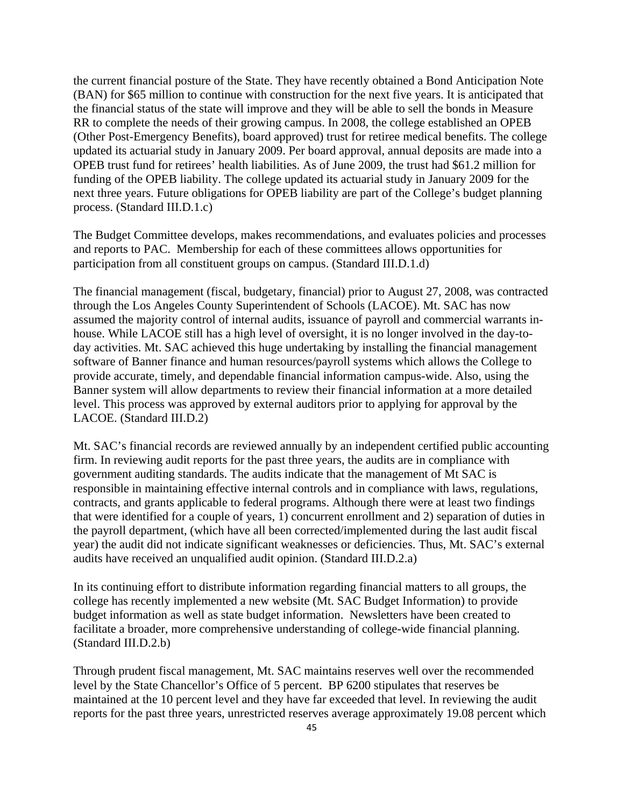the current financial posture of the State. They have recently obtained a Bond Anticipation Note (BAN) for \$65 million to continue with construction for the next five years. It is anticipated that the financial status of the state will improve and they will be able to sell the bonds in Measure RR to complete the needs of their growing campus. In 2008, the college established an OPEB (Other Post-Emergency Benefits), board approved) trust for retiree medical benefits. The college updated its actuarial study in January 2009. Per board approval, annual deposits are made into a OPEB trust fund for retirees' health liabilities. As of June 2009, the trust had \$61.2 million for funding of the OPEB liability. The college updated its actuarial study in January 2009 for the next three years. Future obligations for OPEB liability are part of the College's budget planning process. (Standard III.D.1.c)

The Budget Committee develops, makes recommendations, and evaluates policies and processes and reports to PAC. Membership for each of these committees allows opportunities for participation from all constituent groups on campus. (Standard III.D.1.d)

The financial management (fiscal, budgetary, financial) prior to August 27, 2008, was contracted through the Los Angeles County Superintendent of Schools (LACOE). Mt. SAC has now assumed the majority control of internal audits, issuance of payroll and commercial warrants inhouse. While LACOE still has a high level of oversight, it is no longer involved in the day-today activities. Mt. SAC achieved this huge undertaking by installing the financial management software of Banner finance and human resources/payroll systems which allows the College to provide accurate, timely, and dependable financial information campus-wide. Also, using the Banner system will allow departments to review their financial information at a more detailed level. This process was approved by external auditors prior to applying for approval by the LACOE. (Standard III.D.2)

Mt. SAC's financial records are reviewed annually by an independent certified public accounting firm. In reviewing audit reports for the past three years, the audits are in compliance with government auditing standards. The audits indicate that the management of Mt SAC is responsible in maintaining effective internal controls and in compliance with laws, regulations, contracts, and grants applicable to federal programs. Although there were at least two findings that were identified for a couple of years, 1) concurrent enrollment and 2) separation of duties in the payroll department, (which have all been corrected/implemented during the last audit fiscal year) the audit did not indicate significant weaknesses or deficiencies. Thus, Mt. SAC's external audits have received an unqualified audit opinion. (Standard III.D.2.a)

In its continuing effort to distribute information regarding financial matters to all groups, the college has recently implemented a new website (Mt. SAC Budget Information) to provide budget information as well as state budget information. Newsletters have been created to facilitate a broader, more comprehensive understanding of college-wide financial planning. (Standard III.D.2.b)

Through prudent fiscal management, Mt. SAC maintains reserves well over the recommended level by the State Chancellor's Office of 5 percent. BP 6200 stipulates that reserves be maintained at the 10 percent level and they have far exceeded that level. In reviewing the audit reports for the past three years, unrestricted reserves average approximately 19.08 percent which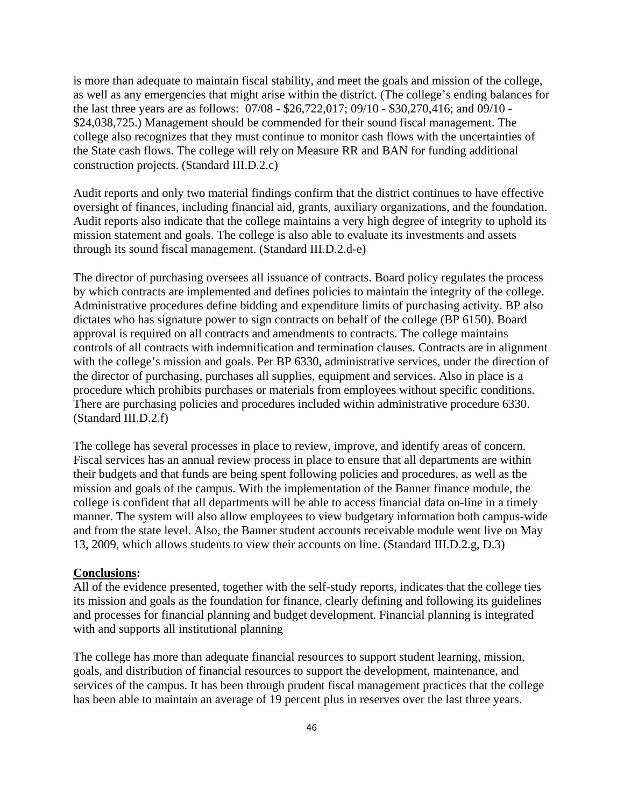is more than adequate to maintain fiscal stability, and meet the goals and mission of the college, as well as any emergencies that might arise within the district. (The college's ending balances for the last three years are as follows: 07/08 - \$26,722,017; 09/10 - \$30,270,416; and 09/10 - \$24,038,725.) Management should be commended for their sound fiscal management. The college also recognizes that they must continue to monitor cash flows with the uncertainties of the State cash flows. The college will rely on Measure RR and BAN for funding additional construction projects. (Standard III.D.2.c)

Audit reports and only two material findings confirm that the district continues to have effective oversight of finances, including financial aid, grants, auxiliary organizations, and the foundation. Audit reports also indicate that the college maintains a very high degree of integrity to uphold its mission statement and goals. The college is also able to evaluate its investments and assets through its sound fiscal management. (Standard III.D.2.d-e)

The director of purchasing oversees all issuance of contracts. Board policy regulates the process by which contracts are implemented and defines policies to maintain the integrity of the college. Administrative procedures define bidding and expenditure limits of purchasing activity. BP also dictates who has signature power to sign contracts on behalf of the college (BP 6150). Board approval is required on all contracts and amendments to contracts. The college maintains controls of all contracts with indemnification and termination clauses. Contracts are in alignment with the college's mission and goals. Per BP 6330, administrative services, under the direction of the director of purchasing, purchases all supplies, equipment and services. Also in place is a procedure which prohibits purchases or materials from employees without specific conditions. There are purchasing policies and procedures included within administrative procedure 6330. (Standard III.D.2.f)

The college has several processes in place to review, improve, and identify areas of concern. Fiscal services has an annual review process in place to ensure that all departments are within their budgets and that funds are being spent following policies and procedures, as well as the mission and goals of the campus. With the implementation of the Banner finance module, the college is confident that all departments will be able to access financial data on-line in a timely manner. The system will also allow employees to view budgetary information both campus-wide and from the state level. Also, the Banner student accounts receivable module went live on May 13, 2009, which allows students to view their accounts on line. (Standard III.D.2.g, D.3)

#### **Conclusions:**

All of the evidence presented, together with the self-study reports, indicates that the college ties its mission and goals as the foundation for finance, clearly defining and following its guidelines and processes for financial planning and budget development. Financial planning is integrated with and supports all institutional planning

The college has more than adequate financial resources to support student learning, mission, goals, and distribution of financial resources to support the development, maintenance, and services of the campus. It has been through prudent fiscal management practices that the college has been able to maintain an average of 19 percent plus in reserves over the last three years.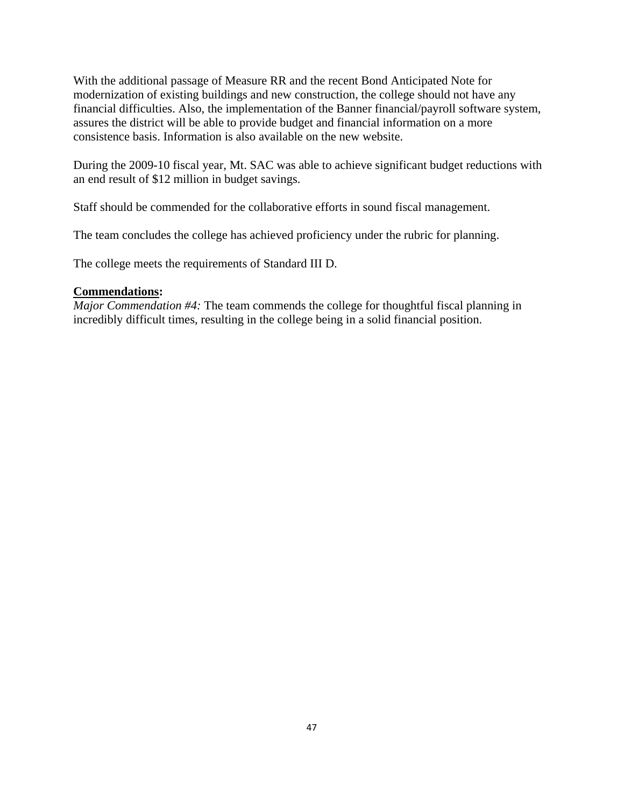With the additional passage of Measure RR and the recent Bond Anticipated Note for modernization of existing buildings and new construction, the college should not have any financial difficulties. Also, the implementation of the Banner financial/payroll software system, assures the district will be able to provide budget and financial information on a more consistence basis. Information is also available on the new website.

During the 2009-10 fiscal year, Mt. SAC was able to achieve significant budget reductions with an end result of \$12 million in budget savings.

Staff should be commended for the collaborative efforts in sound fiscal management.

The team concludes the college has achieved proficiency under the rubric for planning.

The college meets the requirements of Standard III D.

## **Commendations:**

*Major Commendation #4:* The team commends the college for thoughtful fiscal planning in incredibly difficult times, resulting in the college being in a solid financial position.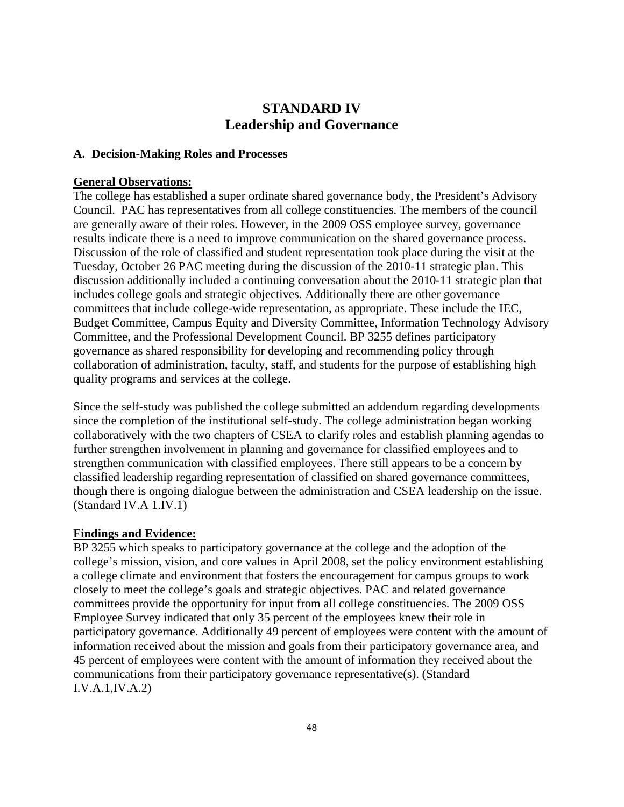# **STANDARD IV Leadership and Governance**

## **A. Decision-Making Roles and Processes**

### **General Observations:**

The college has established a super ordinate shared governance body, the President's Advisory Council. PAC has representatives from all college constituencies. The members of the council are generally aware of their roles. However, in the 2009 OSS employee survey, governance results indicate there is a need to improve communication on the shared governance process. Discussion of the role of classified and student representation took place during the visit at the Tuesday, October 26 PAC meeting during the discussion of the 2010-11 strategic plan. This discussion additionally included a continuing conversation about the 2010-11 strategic plan that includes college goals and strategic objectives. Additionally there are other governance committees that include college-wide representation, as appropriate. These include the IEC, Budget Committee, Campus Equity and Diversity Committee, Information Technology Advisory Committee, and the Professional Development Council. BP 3255 defines participatory governance as shared responsibility for developing and recommending policy through collaboration of administration, faculty, staff, and students for the purpose of establishing high quality programs and services at the college.

Since the self-study was published the college submitted an addendum regarding developments since the completion of the institutional self-study. The college administration began working collaboratively with the two chapters of CSEA to clarify roles and establish planning agendas to further strengthen involvement in planning and governance for classified employees and to strengthen communication with classified employees. There still appears to be a concern by classified leadership regarding representation of classified on shared governance committees, though there is ongoing dialogue between the administration and CSEA leadership on the issue. (Standard IV.A 1.IV.1)

#### **Findings and Evidence:**

BP 3255 which speaks to participatory governance at the college and the adoption of the college's mission, vision, and core values in April 2008, set the policy environment establishing a college climate and environment that fosters the encouragement for campus groups to work closely to meet the college's goals and strategic objectives. PAC and related governance committees provide the opportunity for input from all college constituencies. The 2009 OSS Employee Survey indicated that only 35 percent of the employees knew their role in participatory governance. Additionally 49 percent of employees were content with the amount of information received about the mission and goals from their participatory governance area, and 45 percent of employees were content with the amount of information they received about the communications from their participatory governance representative(s). (Standard I.V.A.1,IV.A.2)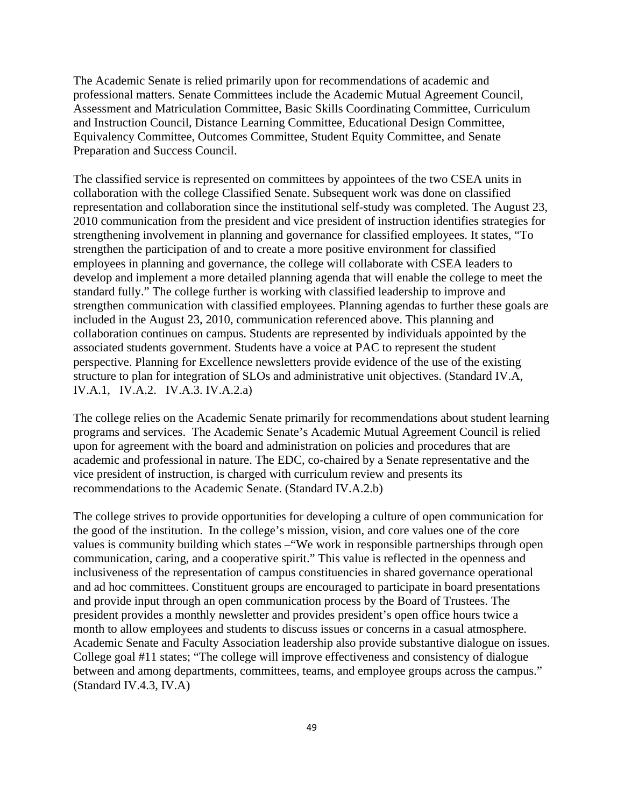The Academic Senate is relied primarily upon for recommendations of academic and professional matters. Senate Committees include the Academic Mutual Agreement Council, Assessment and Matriculation Committee, Basic Skills Coordinating Committee, Curriculum and Instruction Council, Distance Learning Committee, Educational Design Committee, Equivalency Committee, Outcomes Committee, Student Equity Committee, and Senate Preparation and Success Council.

The classified service is represented on committees by appointees of the two CSEA units in collaboration with the college Classified Senate. Subsequent work was done on classified representation and collaboration since the institutional self-study was completed. The August 23, 2010 communication from the president and vice president of instruction identifies strategies for strengthening involvement in planning and governance for classified employees. It states, "To strengthen the participation of and to create a more positive environment for classified employees in planning and governance, the college will collaborate with CSEA leaders to develop and implement a more detailed planning agenda that will enable the college to meet the standard fully." The college further is working with classified leadership to improve and strengthen communication with classified employees. Planning agendas to further these goals are included in the August 23, 2010, communication referenced above. This planning and collaboration continues on campus. Students are represented by individuals appointed by the associated students government. Students have a voice at PAC to represent the student perspective. Planning for Excellence newsletters provide evidence of the use of the existing structure to plan for integration of SLOs and administrative unit objectives. (Standard IV.A, IV.A.1, IV.A.2. IV.A.3. IV.A.2.a)

The college relies on the Academic Senate primarily for recommendations about student learning programs and services. The Academic Senate's Academic Mutual Agreement Council is relied upon for agreement with the board and administration on policies and procedures that are academic and professional in nature. The EDC, co-chaired by a Senate representative and the vice president of instruction, is charged with curriculum review and presents its recommendations to the Academic Senate. (Standard IV.A.2.b)

The college strives to provide opportunities for developing a culture of open communication for the good of the institution. In the college's mission, vision, and core values one of the core values is community building which states –"We work in responsible partnerships through open communication, caring, and a cooperative spirit." This value is reflected in the openness and inclusiveness of the representation of campus constituencies in shared governance operational and ad hoc committees. Constituent groups are encouraged to participate in board presentations and provide input through an open communication process by the Board of Trustees. The president provides a monthly newsletter and provides president's open office hours twice a month to allow employees and students to discuss issues or concerns in a casual atmosphere. Academic Senate and Faculty Association leadership also provide substantive dialogue on issues. College goal #11 states; "The college will improve effectiveness and consistency of dialogue between and among departments, committees, teams, and employee groups across the campus." (Standard IV.4.3, IV.A)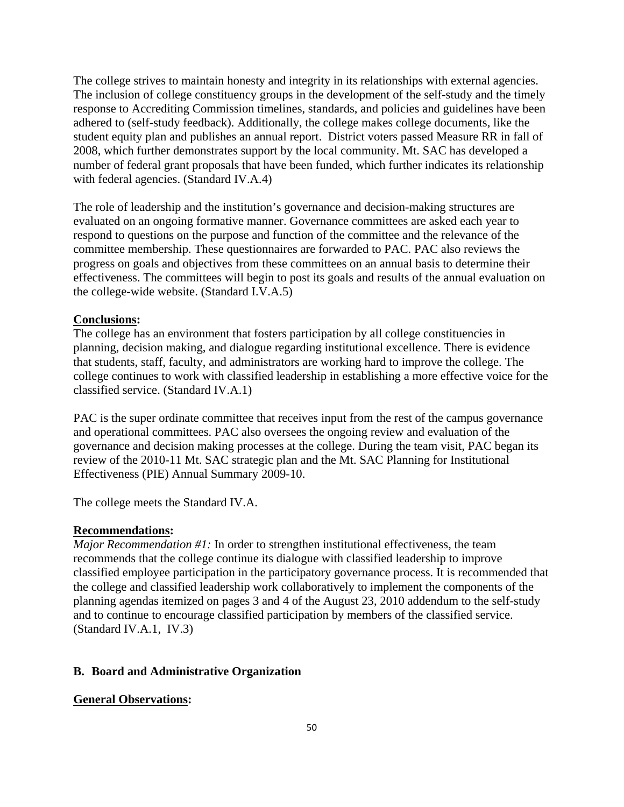The college strives to maintain honesty and integrity in its relationships with external agencies. The inclusion of college constituency groups in the development of the self-study and the timely response to Accrediting Commission timelines, standards, and policies and guidelines have been adhered to (self-study feedback). Additionally, the college makes college documents, like the student equity plan and publishes an annual report. District voters passed Measure RR in fall of 2008, which further demonstrates support by the local community. Mt. SAC has developed a number of federal grant proposals that have been funded, which further indicates its relationship with federal agencies. (Standard IV.A.4)

The role of leadership and the institution's governance and decision-making structures are evaluated on an ongoing formative manner. Governance committees are asked each year to respond to questions on the purpose and function of the committee and the relevance of the committee membership. These questionnaires are forwarded to PAC. PAC also reviews the progress on goals and objectives from these committees on an annual basis to determine their effectiveness. The committees will begin to post its goals and results of the annual evaluation on the college-wide website. (Standard I.V.A.5)

#### **Conclusions:**

The college has an environment that fosters participation by all college constituencies in planning, decision making, and dialogue regarding institutional excellence. There is evidence that students, staff, faculty, and administrators are working hard to improve the college. The college continues to work with classified leadership in establishing a more effective voice for the classified service. (Standard IV.A.1)

PAC is the super ordinate committee that receives input from the rest of the campus governance and operational committees. PAC also oversees the ongoing review and evaluation of the governance and decision making processes at the college. During the team visit, PAC began its review of the 2010-11 Mt. SAC strategic plan and the Mt. SAC Planning for Institutional Effectiveness (PIE) Annual Summary 2009-10.

The college meets the Standard IV.A.

#### **Recommendations:**

*Major Recommendation #1:* In order to strengthen institutional effectiveness, the team recommends that the college continue its dialogue with classified leadership to improve classified employee participation in the participatory governance process. It is recommended that the college and classified leadership work collaboratively to implement the components of the planning agendas itemized on pages 3 and 4 of the August 23, 2010 addendum to the self-study and to continue to encourage classified participation by members of the classified service. (Standard IV.A.1, IV.3)

#### **B. Board and Administrative Organization**

#### **General Observations:**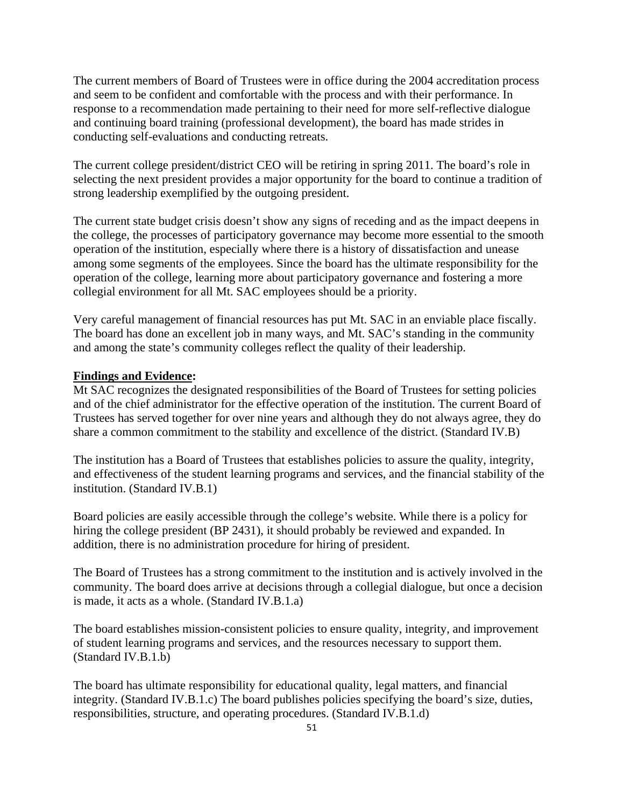The current members of Board of Trustees were in office during the 2004 accreditation process and seem to be confident and comfortable with the process and with their performance. In response to a recommendation made pertaining to their need for more self-reflective dialogue and continuing board training (professional development), the board has made strides in conducting self-evaluations and conducting retreats.

The current college president/district CEO will be retiring in spring 2011. The board's role in selecting the next president provides a major opportunity for the board to continue a tradition of strong leadership exemplified by the outgoing president.

The current state budget crisis doesn't show any signs of receding and as the impact deepens in the college, the processes of participatory governance may become more essential to the smooth operation of the institution, especially where there is a history of dissatisfaction and unease among some segments of the employees. Since the board has the ultimate responsibility for the operation of the college, learning more about participatory governance and fostering a more collegial environment for all Mt. SAC employees should be a priority.

Very careful management of financial resources has put Mt. SAC in an enviable place fiscally. The board has done an excellent job in many ways, and Mt. SAC's standing in the community and among the state's community colleges reflect the quality of their leadership.

#### **Findings and Evidence:**

Mt SAC recognizes the designated responsibilities of the Board of Trustees for setting policies and of the chief administrator for the effective operation of the institution. The current Board of Trustees has served together for over nine years and although they do not always agree, they do share a common commitment to the stability and excellence of the district. (Standard IV.B)

The institution has a Board of Trustees that establishes policies to assure the quality, integrity, and effectiveness of the student learning programs and services, and the financial stability of the institution. (Standard IV.B.1)

Board policies are easily accessible through the college's website. While there is a policy for hiring the college president (BP 2431), it should probably be reviewed and expanded. In addition, there is no administration procedure for hiring of president.

The Board of Trustees has a strong commitment to the institution and is actively involved in the community. The board does arrive at decisions through a collegial dialogue, but once a decision is made, it acts as a whole. (Standard IV.B.1.a)

The board establishes mission-consistent policies to ensure quality, integrity, and improvement of student learning programs and services, and the resources necessary to support them. (Standard IV.B.1.b)

The board has ultimate responsibility for educational quality, legal matters, and financial integrity. (Standard IV.B.1.c) The board publishes policies specifying the board's size, duties, responsibilities, structure, and operating procedures. (Standard IV.B.1.d)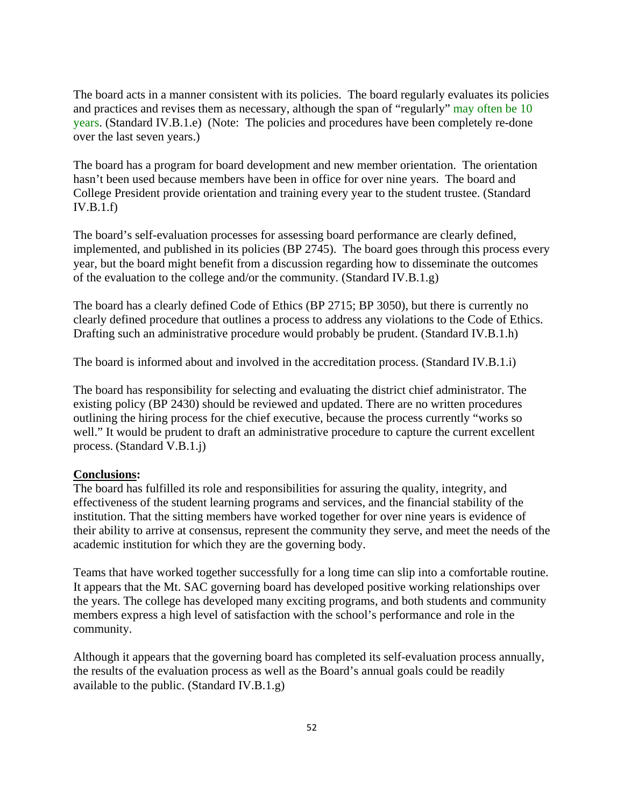The board acts in a manner consistent with its policies. The board regularly evaluates its policies and practices and revises them as necessary, although the span of "regularly" may often be 10 years. (Standard IV.B.1.e) (Note: The policies and procedures have been completely re-done over the last seven years.)

The board has a program for board development and new member orientation. The orientation hasn't been used because members have been in office for over nine years. The board and College President provide orientation and training every year to the student trustee. (Standard IV.B.1.f)

The board's self-evaluation processes for assessing board performance are clearly defined, implemented, and published in its policies (BP 2745). The board goes through this process every year, but the board might benefit from a discussion regarding how to disseminate the outcomes of the evaluation to the college and/or the community. (Standard IV.B.1.g)

The board has a clearly defined Code of Ethics (BP 2715; BP 3050), but there is currently no clearly defined procedure that outlines a process to address any violations to the Code of Ethics. Drafting such an administrative procedure would probably be prudent. (Standard IV.B.1.h)

The board is informed about and involved in the accreditation process. (Standard IV.B.1.i)

The board has responsibility for selecting and evaluating the district chief administrator. The existing policy (BP 2430) should be reviewed and updated. There are no written procedures outlining the hiring process for the chief executive, because the process currently "works so well." It would be prudent to draft an administrative procedure to capture the current excellent process. (Standard V.B.1.j)

#### **Conclusions:**

The board has fulfilled its role and responsibilities for assuring the quality, integrity, and effectiveness of the student learning programs and services, and the financial stability of the institution. That the sitting members have worked together for over nine years is evidence of their ability to arrive at consensus, represent the community they serve, and meet the needs of the academic institution for which they are the governing body.

Teams that have worked together successfully for a long time can slip into a comfortable routine. It appears that the Mt. SAC governing board has developed positive working relationships over the years. The college has developed many exciting programs, and both students and community members express a high level of satisfaction with the school's performance and role in the community.

Although it appears that the governing board has completed its self-evaluation process annually, the results of the evaluation process as well as the Board's annual goals could be readily available to the public. (Standard IV.B.1.g)